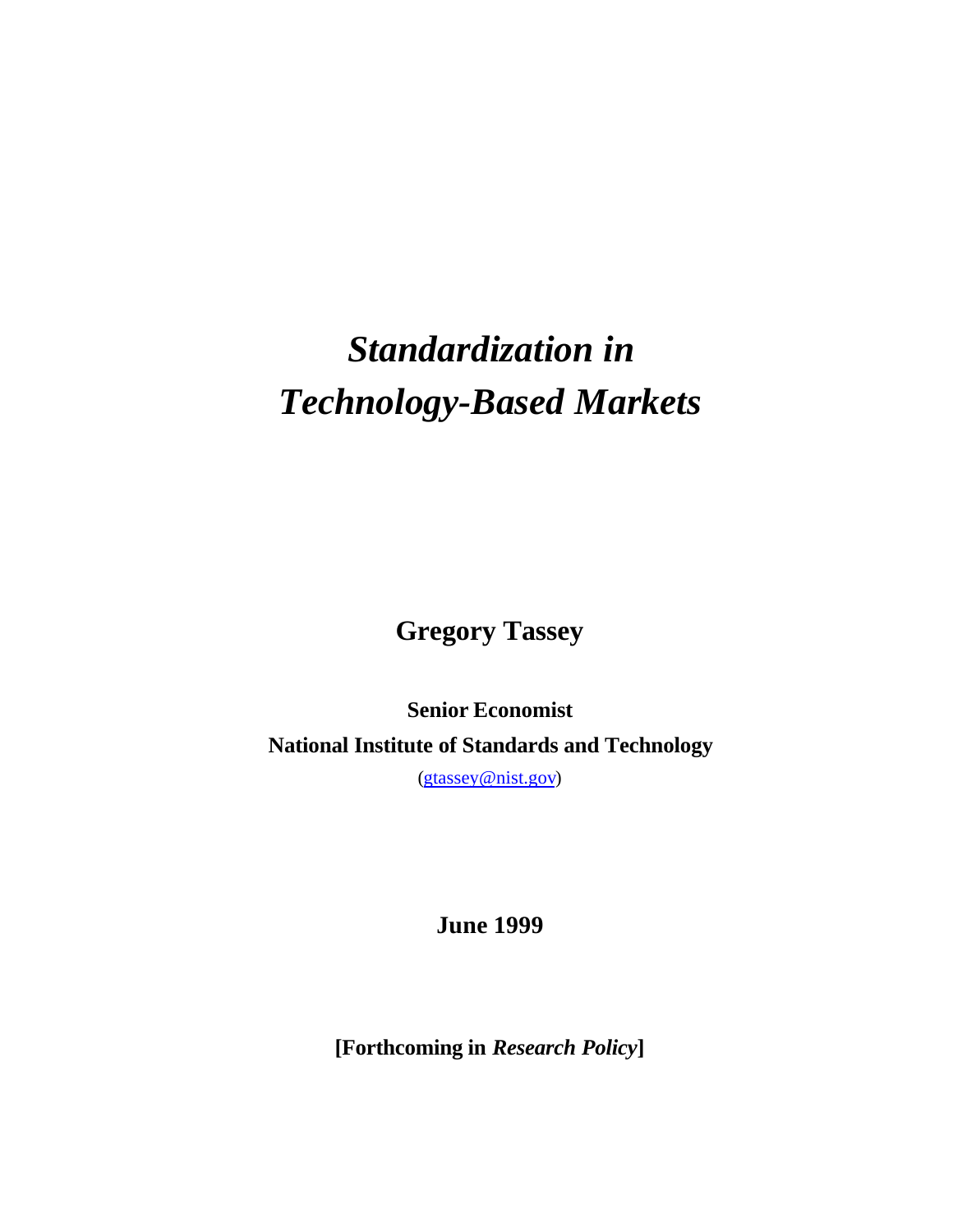# *Standardization in Technology-Based Markets*

**Gregory Tassey**

**Senior Economist National Institute of Standards and Technology**

(gtassey@nist.gov)

**June 1999**

**[Forthcoming in** *Research Policy***]**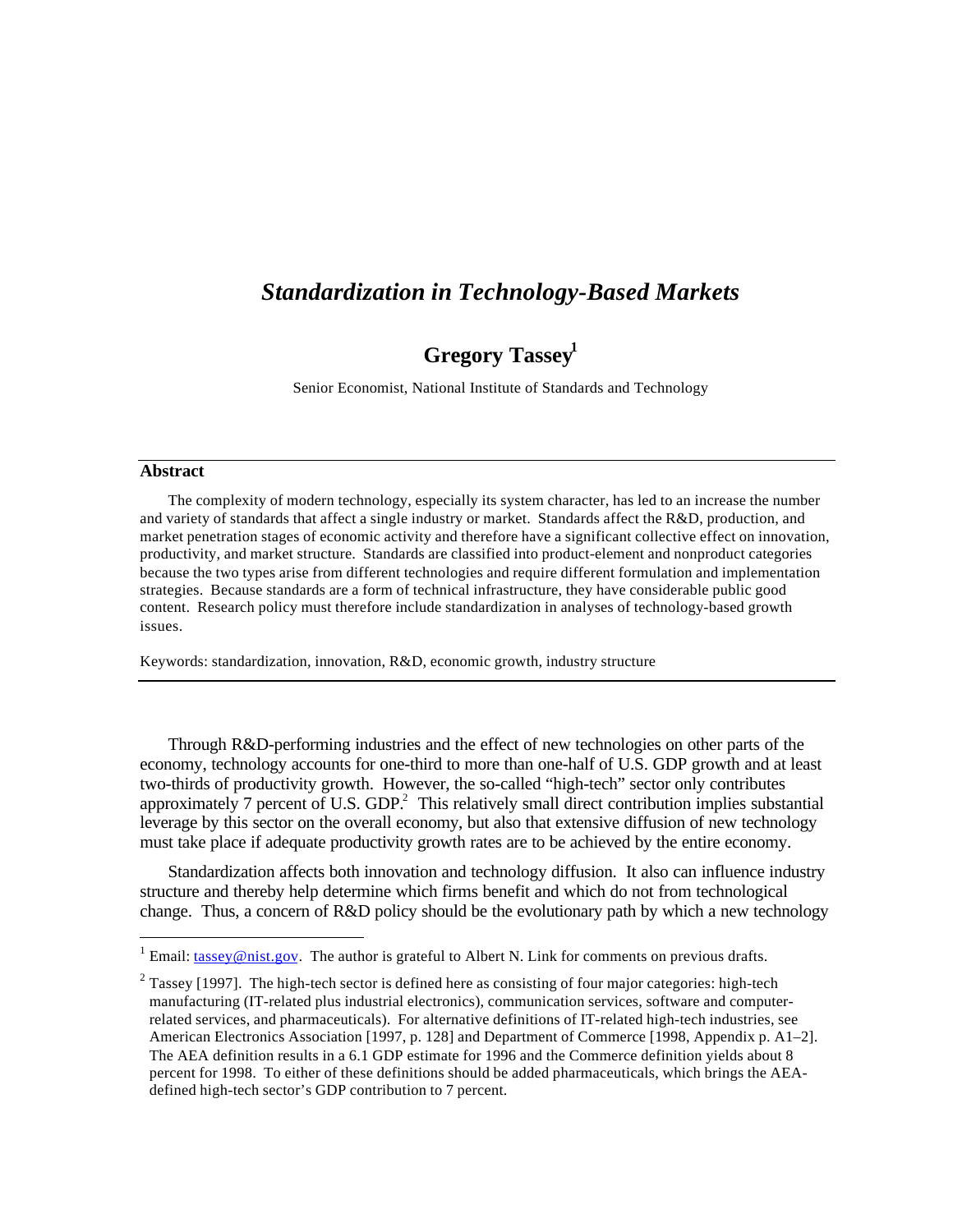### *Standardization in Technology-Based Markets*

## **Gregory Tassey<sup>1</sup>**

Senior Economist, National Institute of Standards and Technology

#### **Abstract**

The complexity of modern technology, especially its system character, has led to an increase the number and variety of standards that affect a single industry or market. Standards affect the R&D, production, and market penetration stages of economic activity and therefore have a significant collective effect on innovation, productivity, and market structure. Standards are classified into product-element and nonproduct categories because the two types arise from different technologies and require different formulation and implementation strategies. Because standards are a form of technical infrastructure, they have considerable public good content. Research policy must therefore include standardization in analyses of technology-based growth issues.

Keywords: standardization, innovation, R&D, economic growth, industry structure

Through R&D-performing industries and the effect of new technologies on other parts of the economy, technology accounts for one-third to more than one-half of U.S. GDP growth and at least two-thirds of productivity growth. However, the so-called "high-tech" sector only contributes approximately 7 percent of U.S.  $GDP<sup>2</sup>$  This relatively small direct contribution implies substantial leverage by this sector on the overall economy, but also that extensive diffusion of new technology must take place if adequate productivity growth rates are to be achieved by the entire economy.

Standardization affects both innovation and technology diffusion. It also can influence industry structure and thereby help determine which firms benefit and which do not from technological change. Thus, a concern of R&D policy should be the evolutionary path by which a new technology

<sup>&</sup>lt;sup>1</sup> Email: tassey@nist.gov. The author is grateful to Albert N. Link for comments on previous drafts.

 $2$  Tassey [1997]. The high-tech sector is defined here as consisting of four major categories: high-tech manufacturing (IT-related plus industrial electronics), communication services, software and computerrelated services, and pharmaceuticals). For alternative definitions of IT-related high-tech industries, see American Electronics Association [1997, p. 128] and Department of Commerce [1998, Appendix p. A1–2]. The AEA definition results in a 6.1 GDP estimate for 1996 and the Commerce definition yields about 8 percent for 1998. To either of these definitions should be added pharmaceuticals, which brings the AEAdefined high-tech sector's GDP contribution to 7 percent.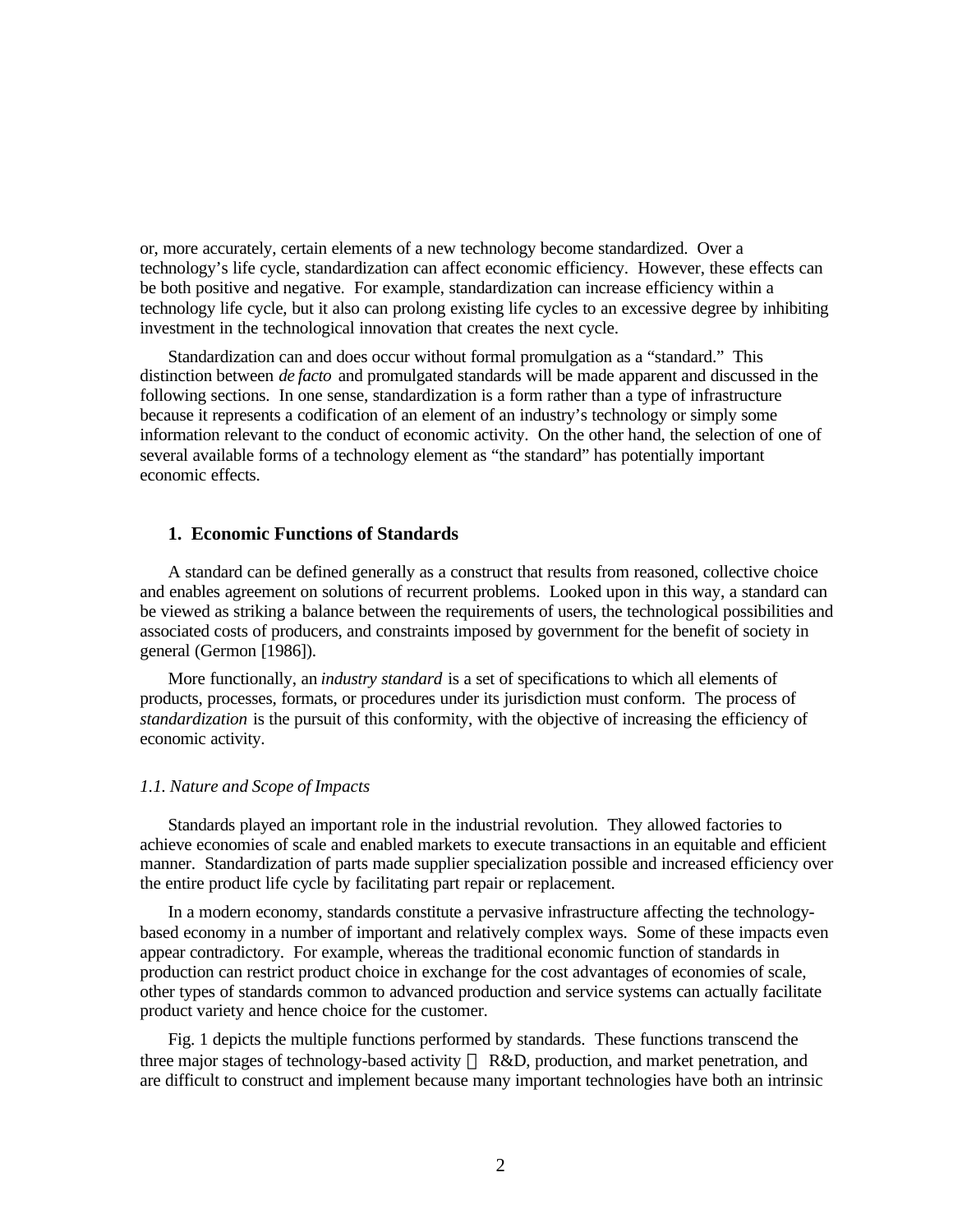or, more accurately, certain elements of a new technology become standardized. Over a technology's life cycle, standardization can affect economic efficiency. However, these effects can be both positive and negative. For example, standardization can increase efficiency within a technology life cycle, but it also can prolong existing life cycles to an excessive degree by inhibiting investment in the technological innovation that creates the next cycle.

Standardization can and does occur without formal promulgation as a "standard." This distinction between *de facto* and promulgated standards will be made apparent and discussed in the following sections. In one sense, standardization is a form rather than a type of infrastructure because it represents a codification of an element of an industry's technology or simply some information relevant to the conduct of economic activity. On the other hand, the selection of one of several available forms of a technology element as "the standard" has potentially important economic effects.

#### **1. Economic Functions of Standards**

A standard can be defined generally as a construct that results from reasoned, collective choice and enables agreement on solutions of recurrent problems. Looked upon in this way, a standard can be viewed as striking a balance between the requirements of users, the technological possibilities and associated costs of producers, and constraints imposed by government for the benefit of society in general (Germon [1986]).

More functionally, an *industry standard* is a set of specifications to which all elements of products, processes, formats, or procedures under its jurisdiction must conform. The process of *standardization* is the pursuit of this conformity, with the objective of increasing the efficiency of economic activity.

#### *1.1. Nature and Scope of Impacts*

Standards played an important role in the industrial revolution. They allowed factories to achieve economies of scale and enabled markets to execute transactions in an equitable and efficient manner. Standardization of parts made supplier specialization possible and increased efficiency over the entire product life cycle by facilitating part repair or replacement.

In a modern economy, standards constitute a pervasive infrastructure affecting the technologybased economy in a number of important and relatively complex ways. Some of these impacts even appear contradictory. For example, whereas the traditional economic function of standards in production can restrict product choice in exchange for the cost advantages of economies of scale, other types of standards common to advanced production and service systems can actually facilitate product variety and hence choice for the customer.

Fig. 1 depicts the multiple functions performed by standards. These functions transcend the three major stages of technology-based activity — R&D, production, and market penetration, and are difficult to construct and implement because many important technologies have both an intrinsic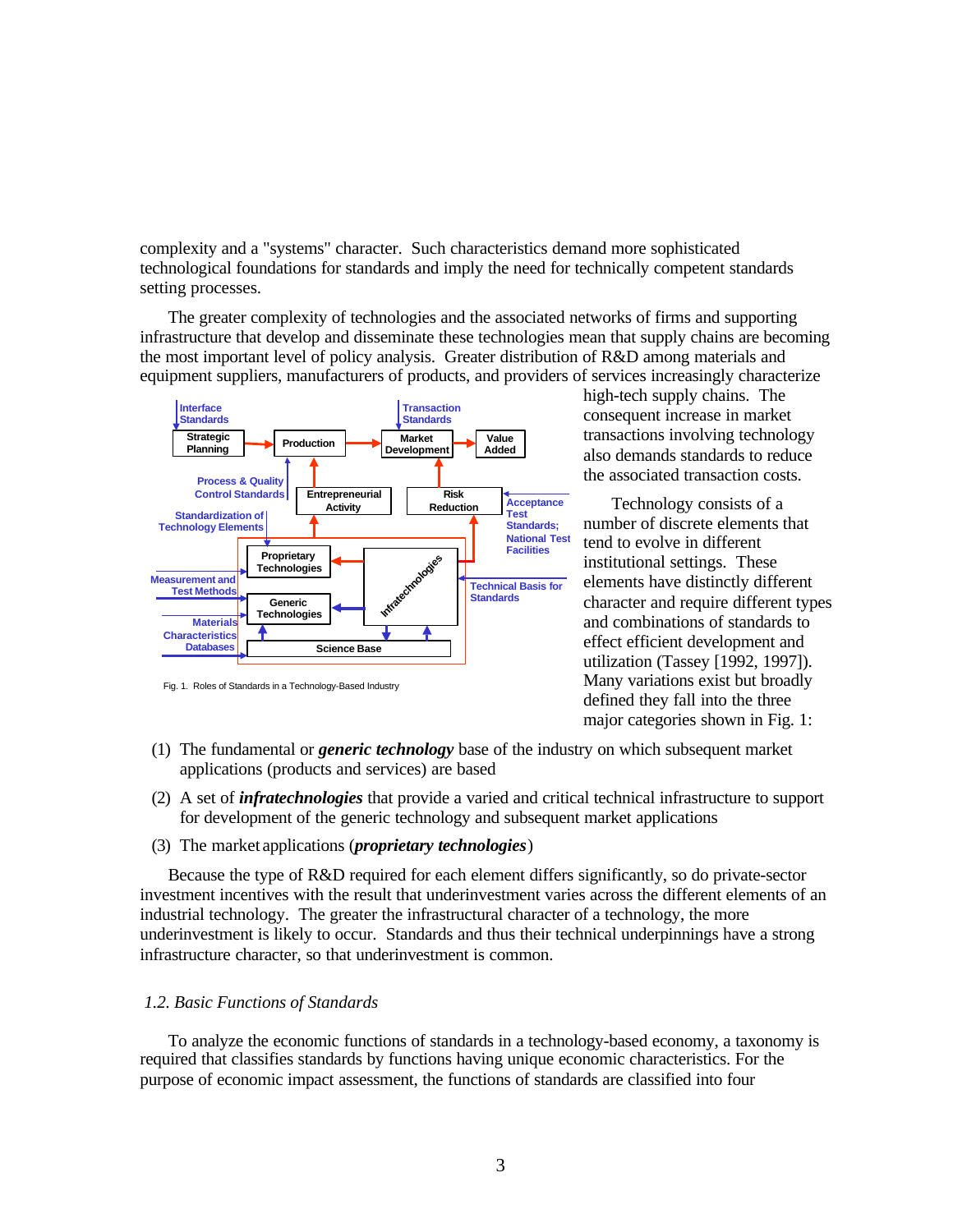complexity and a "systems" character. Such characteristics demand more sophisticated technological foundations for standards and imply the need for technically competent standards setting processes.

The greater complexity of technologies and the associated networks of firms and supporting infrastructure that develop and disseminate these technologies mean that supply chains are becoming the most important level of policy analysis. Greater distribution of R&D among materials and equipment suppliers, manufacturers of products, and providers of services increasingly characterize



Fig. 1. Roles of Standards in a Technology-Based Industry

high-tech supply chains. The consequent increase in market transactions involving technology also demands standards to reduce the associated transaction costs.

Technology consists of a number of discrete elements that tend to evolve in different institutional settings. These elements have distinctly different character and require different types and combinations of standards to effect efficient development and utilization (Tassey [1992, 1997]). Many variations exist but broadly defined they fall into the three major categories shown in Fig. 1:

- (1) The fundamental or *generic technology* base of the industry on which subsequent market applications (products and services) are based
- (2) A set of *infratechnologies* that provide a varied and critical technical infrastructure to support for development of the generic technology and subsequent market applications
- (3) The market applications (*proprietary technologies*)

Because the type of R&D required for each element differs significantly, so do private-sector investment incentives with the result that underinvestment varies across the different elements of an industrial technology. The greater the infrastructural character of a technology, the more underinvestment is likely to occur. Standards and thus their technical underpinnings have a strong infrastructure character, so that underinvestment is common.

#### *1.2. Basic Functions of Standards*

To analyze the economic functions of standards in a technology-based economy, a taxonomy is required that classifies standards by functions having unique economic characteristics. For the purpose of economic impact assessment, the functions of standards are classified into four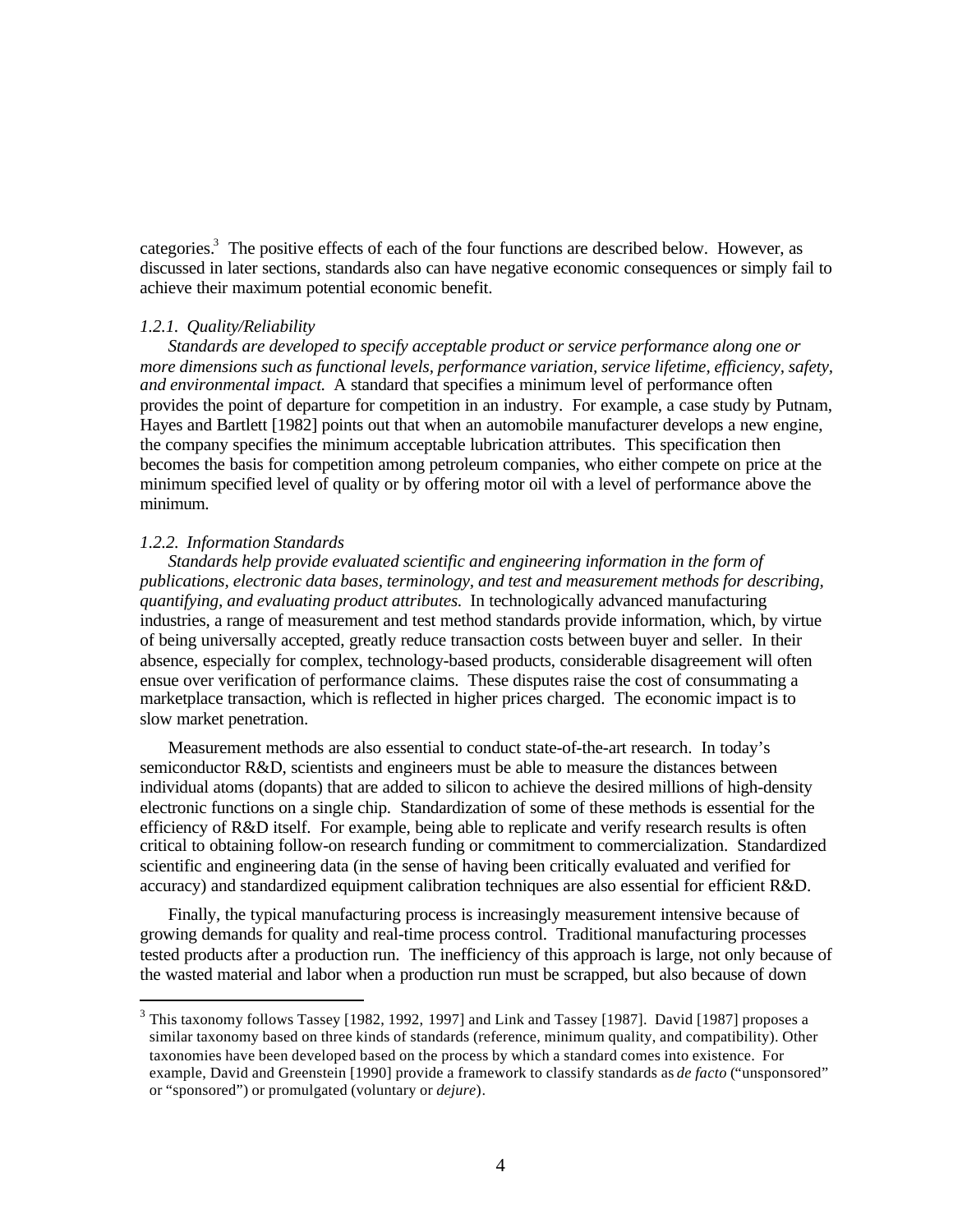categories.<sup>3</sup> The positive effects of each of the four functions are described below. However, as discussed in later sections, standards also can have negative economic consequences or simply fail to achieve their maximum potential economic benefit.

#### *1.2.1. Quality/Reliability*

*Standards are developed to specify acceptable product or service performance along one or more dimensions such as functional levels, performance variation, service lifetime, efficiency, safety, and environmental impact.* A standard that specifies a minimum level of performance often provides the point of departure for competition in an industry. For example, a case study by Putnam, Hayes and Bartlett [1982] points out that when an automobile manufacturer develops a new engine, the company specifies the minimum acceptable lubrication attributes. This specification then becomes the basis for competition among petroleum companies, who either compete on price at the minimum specified level of quality or by offering motor oil with a level of performance above the minimum.

#### *1.2.2. Information Standards*

 $\overline{a}$ 

*Standards help provide evaluated scientific and engineering information in the form of publications, electronic data bases, terminology, and test and measurement methods for describing, quantifying, and evaluating product attributes.* In technologically advanced manufacturing industries, a range of measurement and test method standards provide information, which, by virtue of being universally accepted, greatly reduce transaction costs between buyer and seller. In their absence, especially for complex, technology-based products, considerable disagreement will often ensue over verification of performance claims. These disputes raise the cost of consummating a marketplace transaction, which is reflected in higher prices charged. The economic impact is to slow market penetration.

Measurement methods are also essential to conduct state-of-the-art research. In today's semiconductor R&D, scientists and engineers must be able to measure the distances between individual atoms (dopants) that are added to silicon to achieve the desired millions of high-density electronic functions on a single chip. Standardization of some of these methods is essential for the efficiency of R&D itself. For example, being able to replicate and verify research results is often critical to obtaining follow-on research funding or commitment to commercialization. Standardized scientific and engineering data (in the sense of having been critically evaluated and verified for accuracy) and standardized equipment calibration techniques are also essential for efficient R&D.

Finally, the typical manufacturing process is increasingly measurement intensive because of growing demands for quality and real-time process control. Traditional manufacturing processes tested products after a production run. The inefficiency of this approach is large, not only because of the wasted material and labor when a production run must be scrapped, but also because of down

 $3$  This taxonomy follows Tassey [1982, 1992, 1997] and Link and Tassey [1987]. David [1987] proposes a similar taxonomy based on three kinds of standards (reference, minimum quality, and compatibility). Other taxonomies have been developed based on the process by which a standard comes into existence. For example, David and Greenstein [1990] provide a framework to classify standards as *de facto* ("unsponsored" or "sponsored") or promulgated (voluntary or *dejure*).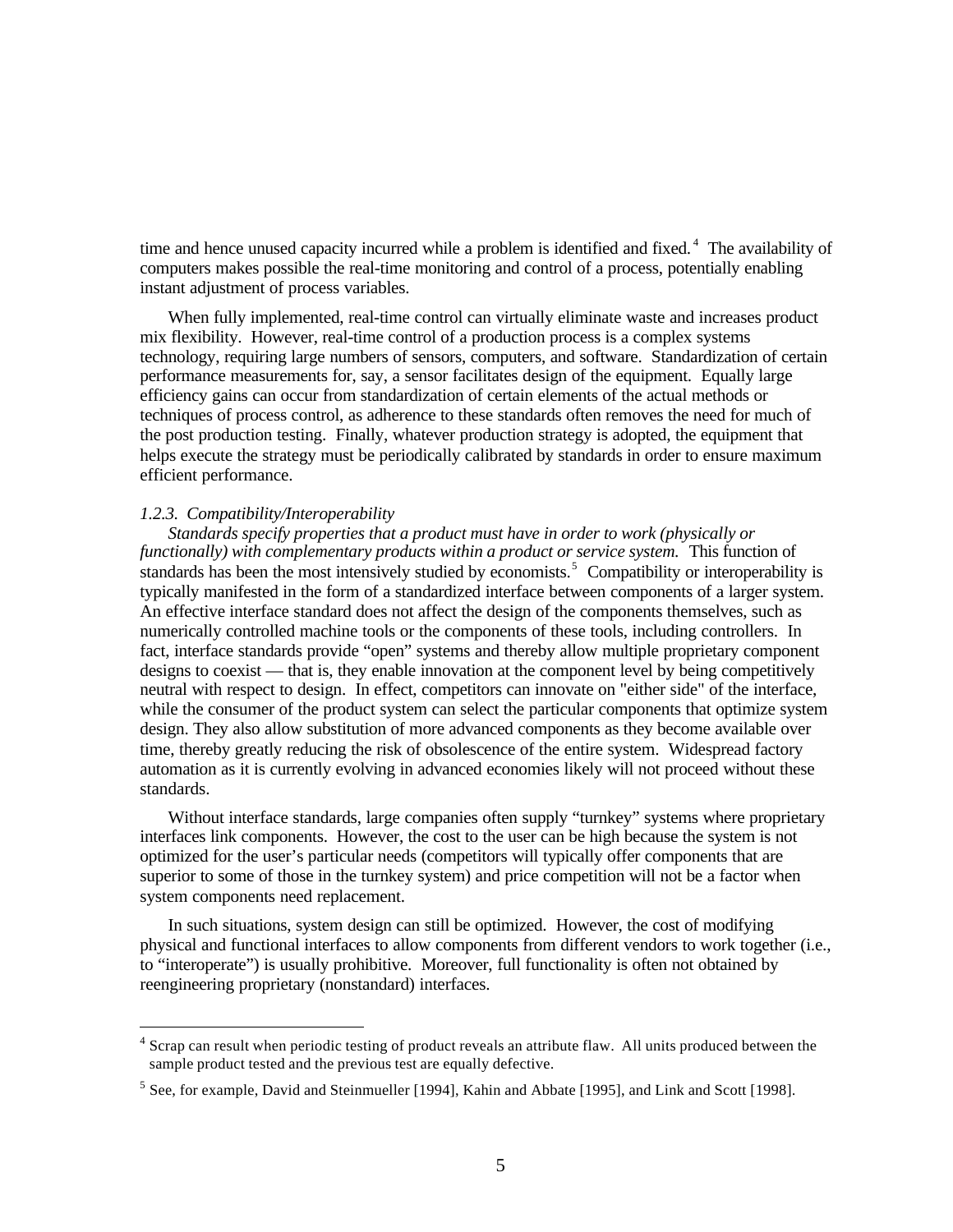time and hence unused capacity incurred while a problem is identified and fixed.<sup>4</sup> The availability of computers makes possible the real-time monitoring and control of a process, potentially enabling instant adjustment of process variables.

When fully implemented, real-time control can virtually eliminate waste and increases product mix flexibility. However, real-time control of a production process is a complex systems technology, requiring large numbers of sensors, computers, and software. Standardization of certain performance measurements for, say, a sensor facilitates design of the equipment. Equally large efficiency gains can occur from standardization of certain elements of the actual methods or techniques of process control, as adherence to these standards often removes the need for much of the post production testing. Finally, whatever production strategy is adopted, the equipment that helps execute the strategy must be periodically calibrated by standards in order to ensure maximum efficient performance.

#### *1.2.3. Compatibility/Interoperability*

*Standards specify properties that a product must have in order to work (physically or functionally) with complementary products within a product or service system.* This function of standards has been the most intensively studied by economists.<sup>5</sup> Compatibility or interoperability is typically manifested in the form of a standardized interface between components of a larger system. An effective interface standard does not affect the design of the components themselves, such as numerically controlled machine tools or the components of these tools, including controllers. In fact, interface standards provide "open" systems and thereby allow multiple proprietary component designs to coexist — that is, they enable innovation at the component level by being competitively neutral with respect to design. In effect, competitors can innovate on "either side" of the interface, while the consumer of the product system can select the particular components that optimize system design. They also allow substitution of more advanced components as they become available over time, thereby greatly reducing the risk of obsolescence of the entire system. Widespread factory automation as it is currently evolving in advanced economies likely will not proceed without these standards.

Without interface standards, large companies often supply "turnkey" systems where proprietary interfaces link components. However, the cost to the user can be high because the system is not optimized for the user's particular needs (competitors will typically offer components that are superior to some of those in the turnkey system) and price competition will not be a factor when system components need replacement.

In such situations, system design can still be optimized. However, the cost of modifying physical and functional interfaces to allow components from different vendors to work together (i.e., to "interoperate") is usually prohibitive. Moreover, full functionality is often not obtained by reengineering proprietary (nonstandard) interfaces.

 4 Scrap can result when periodic testing of product reveals an attribute flaw. All units produced between the sample product tested and the previous test are equally defective.

<sup>&</sup>lt;sup>5</sup> See, for example, David and Steinmueller [1994], Kahin and Abbate [1995], and Link and Scott [1998].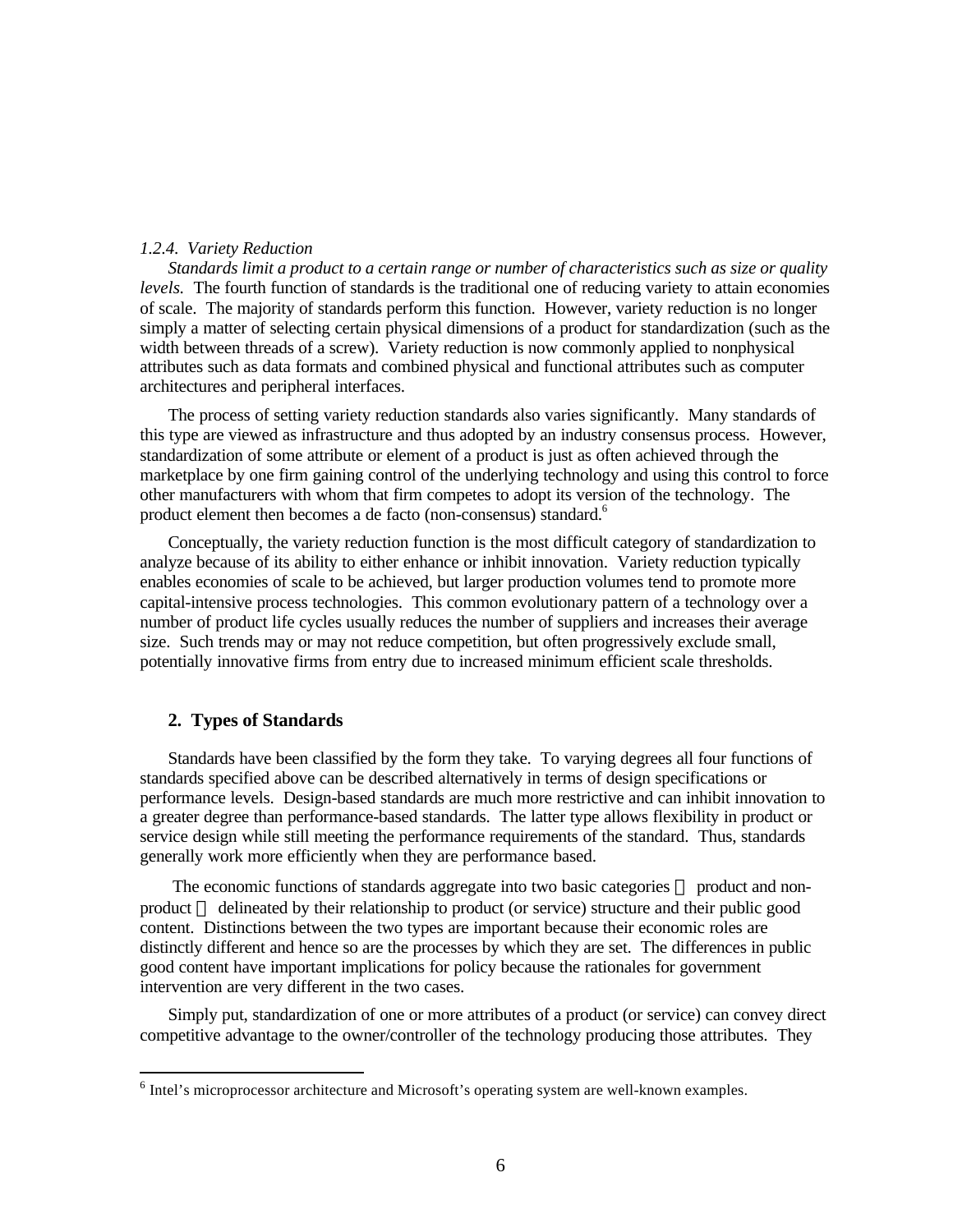#### *1.2.4. Variety Reduction*

*Standards limit a product to a certain range or number of characteristics such as size or quality levels.* The fourth function of standards is the traditional one of reducing variety to attain economies of scale. The majority of standards perform this function. However, variety reduction is no longer simply a matter of selecting certain physical dimensions of a product for standardization (such as the width between threads of a screw). Variety reduction is now commonly applied to nonphysical attributes such as data formats and combined physical and functional attributes such as computer architectures and peripheral interfaces.

The process of setting variety reduction standards also varies significantly. Many standards of this type are viewed as infrastructure and thus adopted by an industry consensus process. However, standardization of some attribute or element of a product is just as often achieved through the marketplace by one firm gaining control of the underlying technology and using this control to force other manufacturers with whom that firm competes to adopt its version of the technology. The product element then becomes a de facto (non-consensus) standard.<sup>6</sup>

Conceptually, the variety reduction function is the most difficult category of standardization to analyze because of its ability to either enhance or inhibit innovation. Variety reduction typically enables economies of scale to be achieved, but larger production volumes tend to promote more capital-intensive process technologies. This common evolutionary pattern of a technology over a number of product life cycles usually reduces the number of suppliers and increases their average size. Such trends may or may not reduce competition, but often progressively exclude small, potentially innovative firms from entry due to increased minimum efficient scale thresholds.

#### **2. Types of Standards**

 $\overline{a}$ 

Standards have been classified by the form they take. To varying degrees all four functions of standards specified above can be described alternatively in terms of design specifications or performance levels. Design-based standards are much more restrictive and can inhibit innovation to a greater degree than performance-based standards. The latter type allows flexibility in product or service design while still meeting the performance requirements of the standard. Thus, standards generally work more efficiently when they are performance based.

The economic functions of standards aggregate into two basic categories — product and nonproduct delineated by their relationship to product (or service) structure and their public good content. Distinctions between the two types are important because their economic roles are distinctly different and hence so are the processes by which they are set. The differences in public good content have important implications for policy because the rationales for government intervention are very different in the two cases.

Simply put, standardization of one or more attributes of a product (or service) can convey direct competitive advantage to the owner/controller of the technology producing those attributes. They

<sup>&</sup>lt;sup>6</sup> Intel's microprocessor architecture and Microsoft's operating system are well-known examples.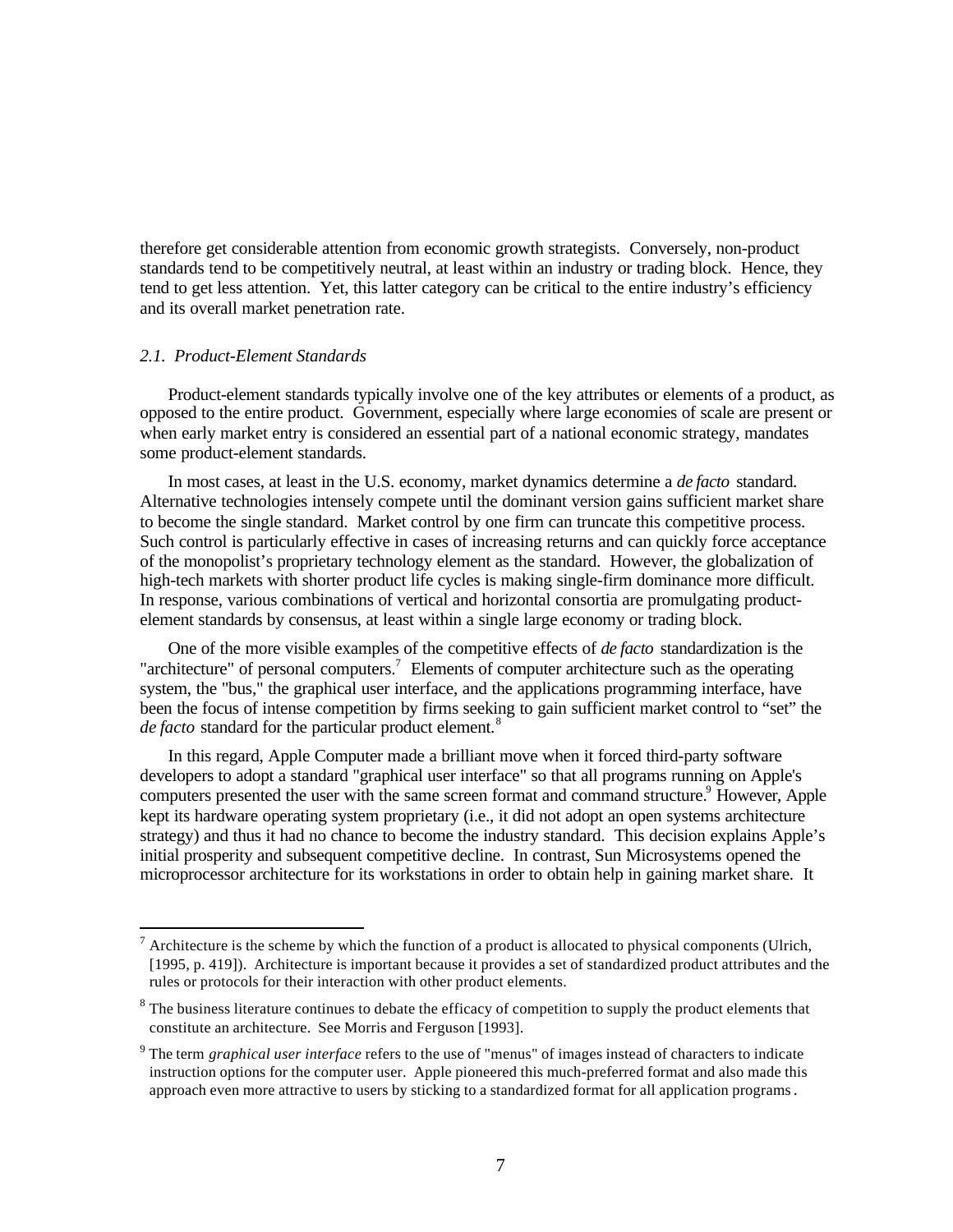therefore get considerable attention from economic growth strategists. Conversely, non-product standards tend to be competitively neutral, at least within an industry or trading block. Hence, they tend to get less attention. Yet, this latter category can be critical to the entire industry's efficiency and its overall market penetration rate.

#### *2.1. Product-Element Standards*

Product-element standards typically involve one of the key attributes or elements of a product, as opposed to the entire product. Government, especially where large economies of scale are present or when early market entry is considered an essential part of a national economic strategy, mandates some product-element standards.

In most cases, at least in the U.S. economy, market dynamics determine a *de facto* standard. Alternative technologies intensely compete until the dominant version gains sufficient market share to become the single standard. Market control by one firm can truncate this competitive process. Such control is particularly effective in cases of increasing returns and can quickly force acceptance of the monopolist's proprietary technology element as the standard. However, the globalization of high-tech markets with shorter product life cycles is making single-firm dominance more difficult. In response, various combinations of vertical and horizontal consortia are promulgating productelement standards by consensus, at least within a single large economy or trading block.

One of the more visible examples of the competitive effects of *de facto* standardization is the "architecture" of personal computers.<sup>7</sup> Elements of computer architecture such as the operating system, the "bus," the graphical user interface, and the applications programming interface, have been the focus of intense competition by firms seeking to gain sufficient market control to "set" the *de facto* standard for the particular product element.<sup>8</sup>

In this regard, Apple Computer made a brilliant move when it forced third-party software developers to adopt a standard "graphical user interface" so that all programs running on Apple's computers presented the user with the same screen format and command structure.<sup>9</sup> However, Apple kept its hardware operating system proprietary (i.e., it did not adopt an open systems architecture strategy) and thus it had no chance to become the industry standard. This decision explains Apple's initial prosperity and subsequent competitive decline. In contrast, Sun Microsystems opened the microprocessor architecture for its workstations in order to obtain help in gaining market share. It

<sup>&</sup>lt;sup>7</sup> Architecture is the scheme by which the function of a product is allocated to physical components (Ulrich, [1995, p. 419]). Architecture is important because it provides a set of standardized product attributes and the rules or protocols for their interaction with other product elements.

 $8$  The business literature continues to debate the efficacy of competition to supply the product elements that constitute an architecture. See Morris and Ferguson [1993].

<sup>&</sup>lt;sup>9</sup> The term *graphical user interface* refers to the use of "menus" of images instead of characters to indicate instruction options for the computer user. Apple pioneered this much-preferred format and also made this approach even more attractive to users by sticking to a standardized format for all application programs.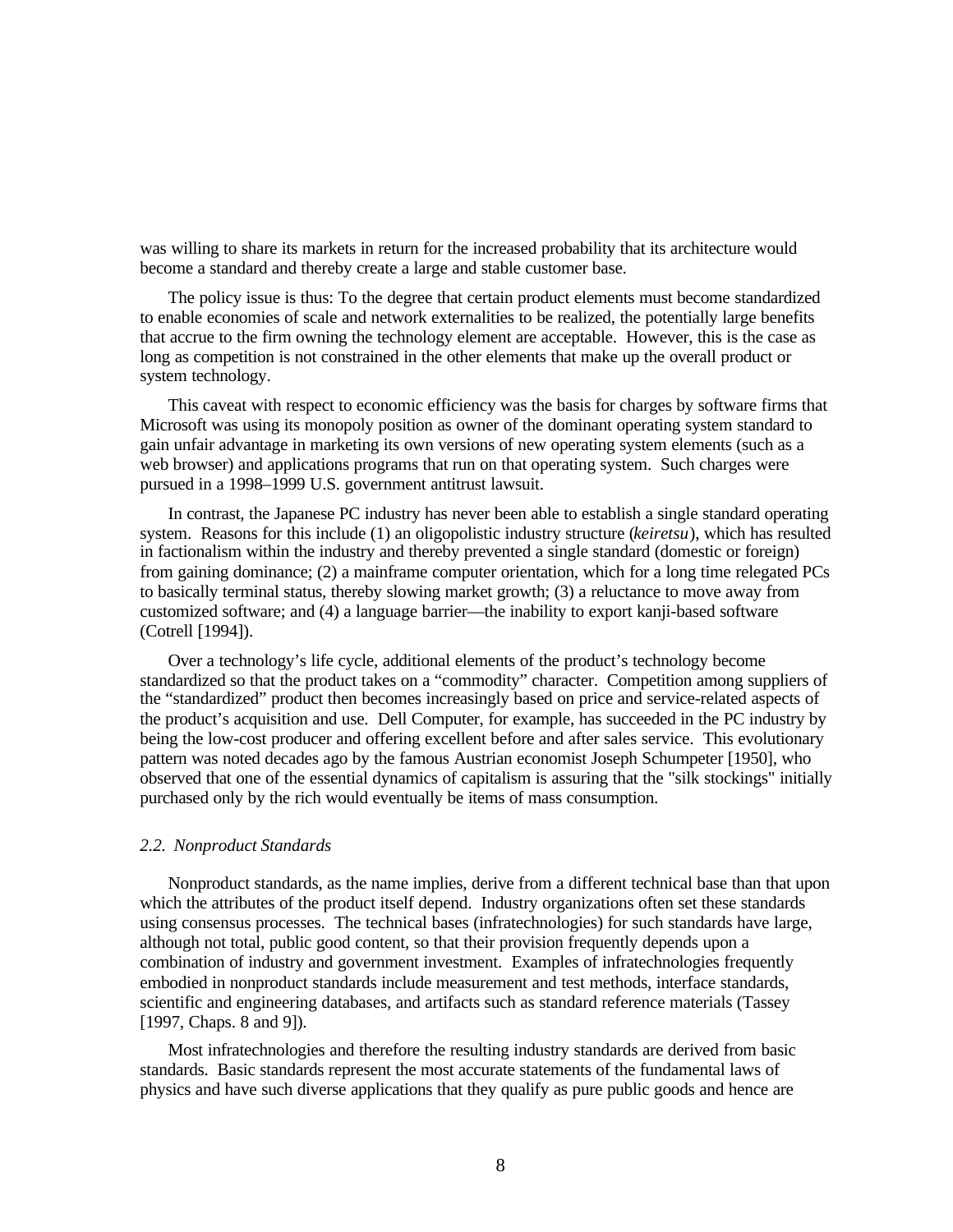was willing to share its markets in return for the increased probability that its architecture would become a standard and thereby create a large and stable customer base.

The policy issue is thus: To the degree that certain product elements must become standardized to enable economies of scale and network externalities to be realized, the potentially large benefits that accrue to the firm owning the technology element are acceptable. However, this is the case as long as competition is not constrained in the other elements that make up the overall product or system technology.

This caveat with respect to economic efficiency was the basis for charges by software firms that Microsoft was using its monopoly position as owner of the dominant operating system standard to gain unfair advantage in marketing its own versions of new operating system elements (such as a web browser) and applications programs that run on that operating system. Such charges were pursued in a 1998–1999 U.S. government antitrust lawsuit.

In contrast, the Japanese PC industry has never been able to establish a single standard operating system. Reasons for this include (1) an oligopolistic industry structure (*keiretsu*), which has resulted in factionalism within the industry and thereby prevented a single standard (domestic or foreign) from gaining dominance; (2) a mainframe computer orientation, which for a long time relegated PCs to basically terminal status, thereby slowing market growth; (3) a reluctance to move away from customized software; and (4) a language barrier—the inability to export kanji-based software (Cotrell [1994]).

Over a technology's life cycle, additional elements of the product's technology become standardized so that the product takes on a "commodity" character. Competition among suppliers of the "standardized" product then becomes increasingly based on price and service-related aspects of the product's acquisition and use. Dell Computer, for example, has succeeded in the PC industry by being the low-cost producer and offering excellent before and after sales service. This evolutionary pattern was noted decades ago by the famous Austrian economist Joseph Schumpeter [1950], who observed that one of the essential dynamics of capitalism is assuring that the "silk stockings" initially purchased only by the rich would eventually be items of mass consumption.

#### *2.2. Nonproduct Standards*

Nonproduct standards, as the name implies, derive from a different technical base than that upon which the attributes of the product itself depend. Industry organizations often set these standards using consensus processes. The technical bases (infratechnologies) for such standards have large, although not total, public good content, so that their provision frequently depends upon a combination of industry and government investment. Examples of infratechnologies frequently embodied in nonproduct standards include measurement and test methods, interface standards, scientific and engineering databases, and artifacts such as standard reference materials (Tassey [1997, Chaps. 8 and 9]).

Most infratechnologies and therefore the resulting industry standards are derived from basic standards. Basic standards represent the most accurate statements of the fundamental laws of physics and have such diverse applications that they qualify as pure public goods and hence are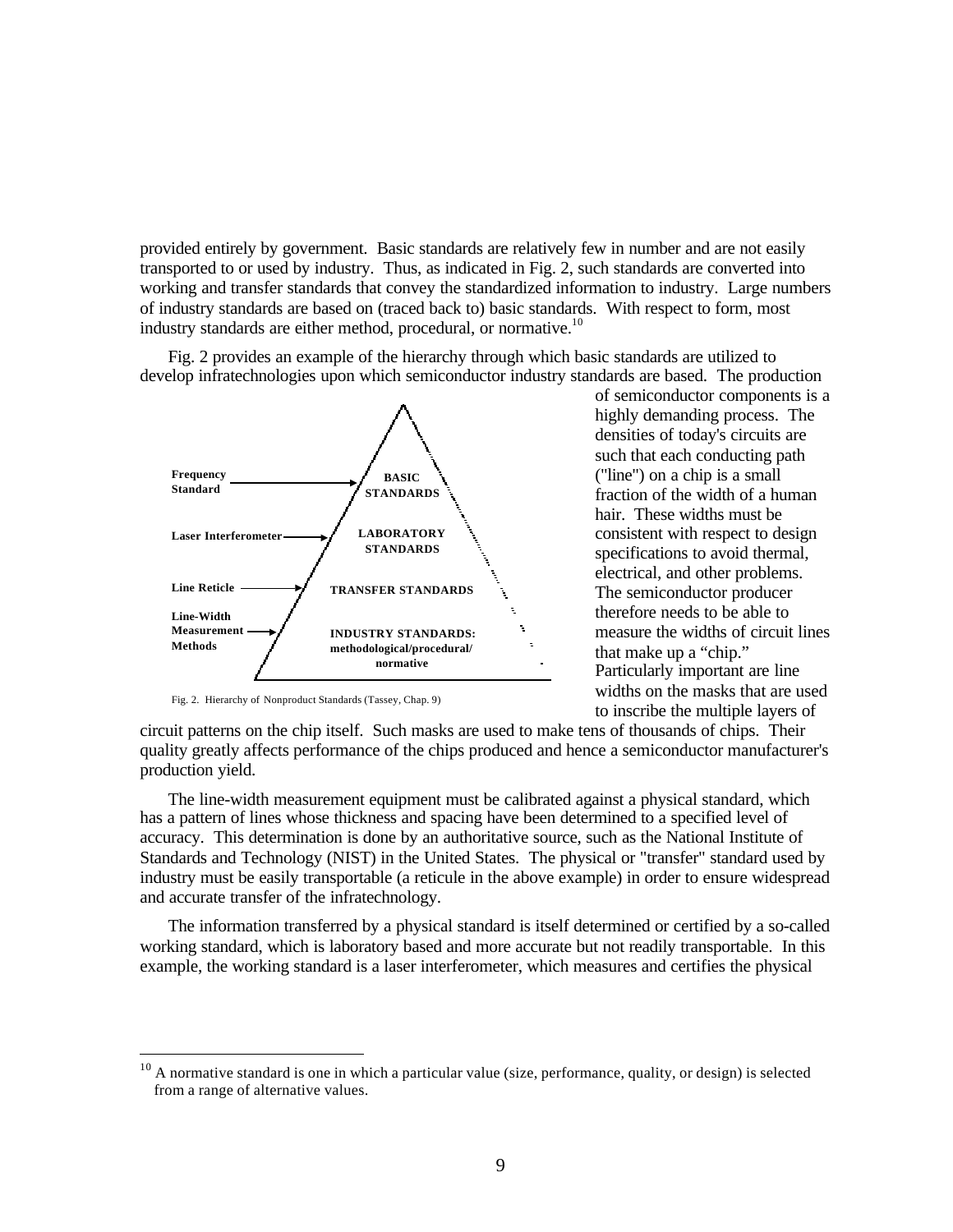provided entirely by government. Basic standards are relatively few in number and are not easily transported to or used by industry. Thus, as indicated in Fig. 2, such standards are converted into working and transfer standards that convey the standardized information to industry. Large numbers of industry standards are based on (traced back to) basic standards. With respect to form, most industry standards are either method, procedural, or normative.<sup>10</sup>

Fig. 2 provides an example of the hierarchy through which basic standards are utilized to develop infratechnologies upon which semiconductor industry standards are based. The production



Fig. 2. Hierarchy of Nonproduct Standards (Tassey, Chap. 9)

 $\overline{a}$ 

of semiconductor components is a highly demanding process. The densities of today's circuits are such that each conducting path ("line") on a chip is a small fraction of the width of a human hair. These widths must be consistent with respect to design specifications to avoid thermal, electrical, and other problems. The semiconductor producer therefore needs to be able to measure the widths of circuit lines that make up a "chip." Particularly important are line widths on the masks that are used to inscribe the multiple layers of

circuit patterns on the chip itself. Such masks are used to make tens of thousands of chips. Their quality greatly affects performance of the chips produced and hence a semiconductor manufacturer's production yield.

The line-width measurement equipment must be calibrated against a physical standard, which has a pattern of lines whose thickness and spacing have been determined to a specified level of accuracy. This determination is done by an authoritative source, such as the National Institute of Standards and Technology (NIST) in the United States. The physical or "transfer" standard used by industry must be easily transportable (a reticule in the above example) in order to ensure widespread and accurate transfer of the infratechnology.

The information transferred by a physical standard is itself determined or certified by a so-called working standard, which is laboratory based and more accurate but not readily transportable. In this example, the working standard is a laser interferometer, which measures and certifies the physical

<sup>&</sup>lt;sup>10</sup> A normative standard is one in which a particular value (size, performance, quality, or design) is selected from a range of alternative values.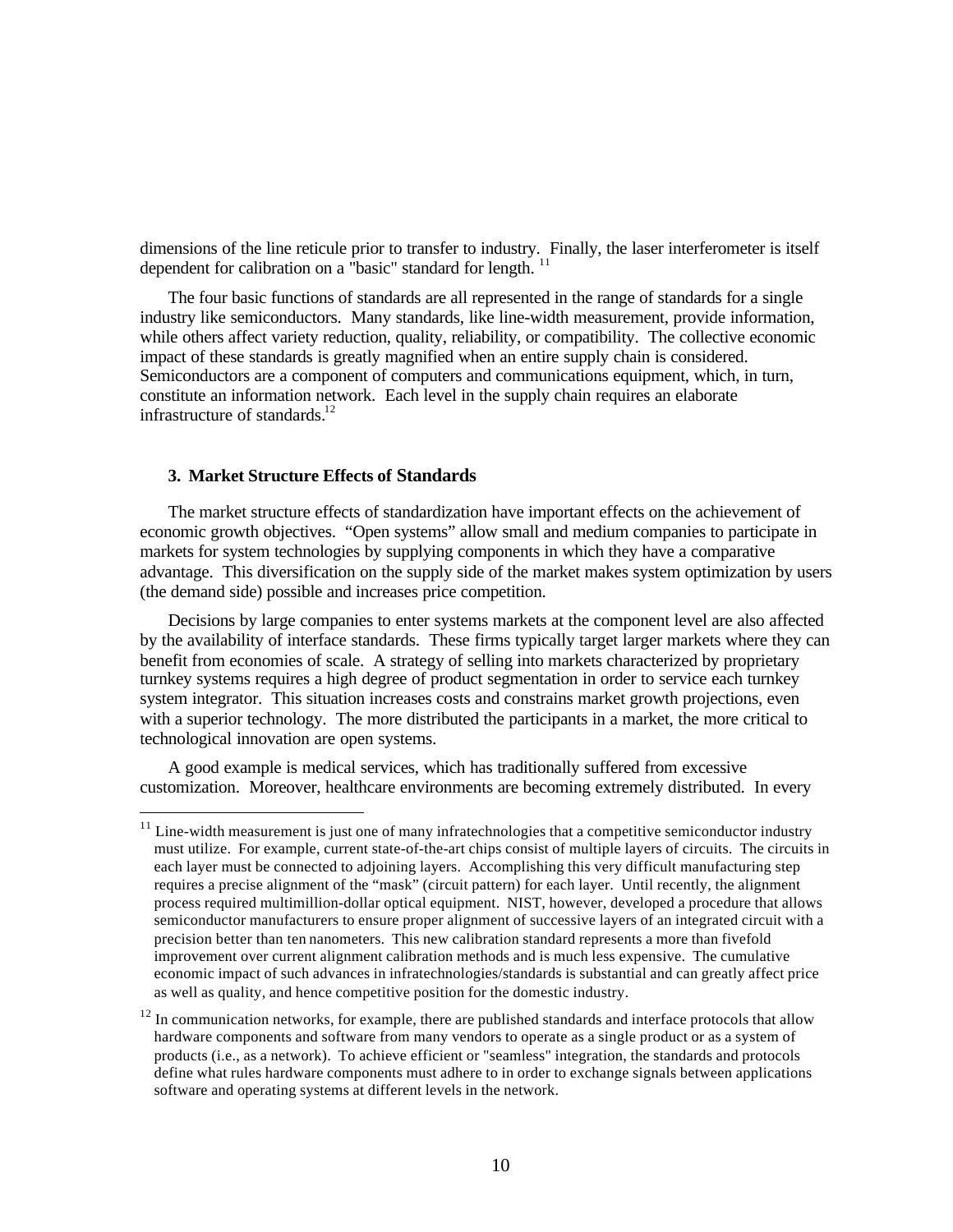dimensions of the line reticule prior to transfer to industry. Finally, the laser interferometer is itself dependent for calibration on a "basic" standard for length.<sup>11</sup>

The four basic functions of standards are all represented in the range of standards for a single industry like semiconductors. Many standards, like line-width measurement, provide information, while others affect variety reduction, quality, reliability, or compatibility. The collective economic impact of these standards is greatly magnified when an entire supply chain is considered. Semiconductors are a component of computers and communications equipment, which, in turn, constitute an information network. Each level in the supply chain requires an elaborate infrastructure of standards. $12$ 

#### **3. Market Structure Effects of Standards**

 $\overline{a}$ 

The market structure effects of standardization have important effects on the achievement of economic growth objectives. "Open systems" allow small and medium companies to participate in markets for system technologies by supplying components in which they have a comparative advantage. This diversification on the supply side of the market makes system optimization by users (the demand side) possible and increases price competition.

Decisions by large companies to enter systems markets at the component level are also affected by the availability of interface standards. These firms typically target larger markets where they can benefit from economies of scale. A strategy of selling into markets characterized by proprietary turnkey systems requires a high degree of product segmentation in order to service each turnkey system integrator. This situation increases costs and constrains market growth projections, even with a superior technology. The more distributed the participants in a market, the more critical to technological innovation are open systems.

A good example is medical services, which has traditionally suffered from excessive customization. Moreover, healthcare environments are becoming extremely distributed. In every

 $11$  Line-width measurement is just one of many infratechnologies that a competitive semiconductor industry must utilize. For example, current state-of-the-art chips consist of multiple layers of circuits. The circuits in each layer must be connected to adjoining layers. Accomplishing this very difficult manufacturing step requires a precise alignment of the "mask" (circuit pattern) for each layer. Until recently, the alignment process required multimillion-dollar optical equipment. NIST, however, developed a procedure that allows semiconductor manufacturers to ensure proper alignment of successive layers of an integrated circuit with a precision better than ten nanometers. This new calibration standard represents a more than fivefold improvement over current alignment calibration methods and is much less expensive. The cumulative economic impact of such advances in infratechnologies/standards is substantial and can greatly affect price as well as quality, and hence competitive position for the domestic industry.

 $12$  In communication networks, for example, there are published standards and interface protocols that allow hardware components and software from many vendors to operate as a single product or as a system of products (i.e., as a network). To achieve efficient or "seamless" integration, the standards and protocols define what rules hardware components must adhere to in order to exchange signals between applications software and operating systems at different levels in the network.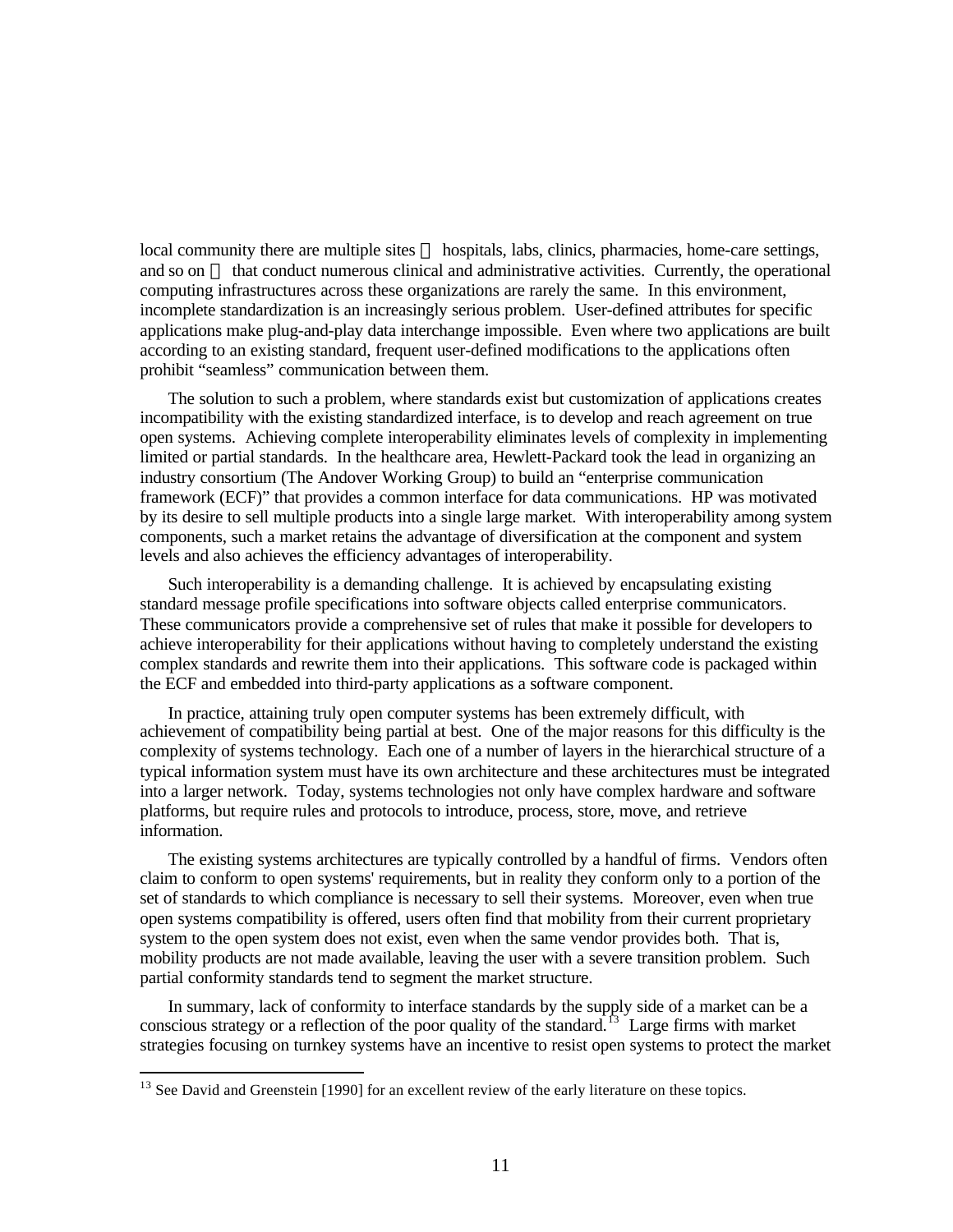local community there are multiple sites — hospitals, labs, clinics, pharmacies, home-care settings, and so on — that conduct numerous clinical and administrative activities. Currently, the operational computing infrastructures across these organizations are rarely the same. In this environment, incomplete standardization is an increasingly serious problem. User-defined attributes for specific applications make plug-and-play data interchange impossible. Even where two applications are built according to an existing standard, frequent user-defined modifications to the applications often prohibit "seamless" communication between them.

The solution to such a problem, where standards exist but customization of applications creates incompatibility with the existing standardized interface, is to develop and reach agreement on true open systems. Achieving complete interoperability eliminates levels of complexity in implementing limited or partial standards. In the healthcare area, Hewlett-Packard took the lead in organizing an industry consortium (The Andover Working Group) to build an "enterprise communication framework (ECF)" that provides a common interface for data communications. HP was motivated by its desire to sell multiple products into a single large market. With interoperability among system components, such a market retains the advantage of diversification at the component and system levels and also achieves the efficiency advantages of interoperability.

Such interoperability is a demanding challenge. It is achieved by encapsulating existing standard message profile specifications into software objects called enterprise communicators. These communicators provide a comprehensive set of rules that make it possible for developers to achieve interoperability for their applications without having to completely understand the existing complex standards and rewrite them into their applications. This software code is packaged within the ECF and embedded into third-party applications as a software component.

In practice, attaining truly open computer systems has been extremely difficult, with achievement of compatibility being partial at best. One of the major reasons for this difficulty is the complexity of systems technology. Each one of a number of layers in the hierarchical structure of a typical information system must have its own architecture and these architectures must be integrated into a larger network. Today, systems technologies not only have complex hardware and software platforms, but require rules and protocols to introduce, process, store, move, and retrieve information.

The existing systems architectures are typically controlled by a handful of firms. Vendors often claim to conform to open systems' requirements, but in reality they conform only to a portion of the set of standards to which compliance is necessary to sell their systems. Moreover, even when true open systems compatibility is offered, users often find that mobility from their current proprietary system to the open system does not exist, even when the same vendor provides both. That is, mobility products are not made available, leaving the user with a severe transition problem. Such partial conformity standards tend to segment the market structure.

In summary, lack of conformity to interface standards by the supply side of a market can be a conscious strategy or a reflection of the poor quality of the standard.<sup>13</sup> Large firms with market strategies focusing on turnkey systems have an incentive to resist open systems to protect the market

 $\overline{a}$ 

 $13$  See David and Greenstein [1990] for an excellent review of the early literature on these topics.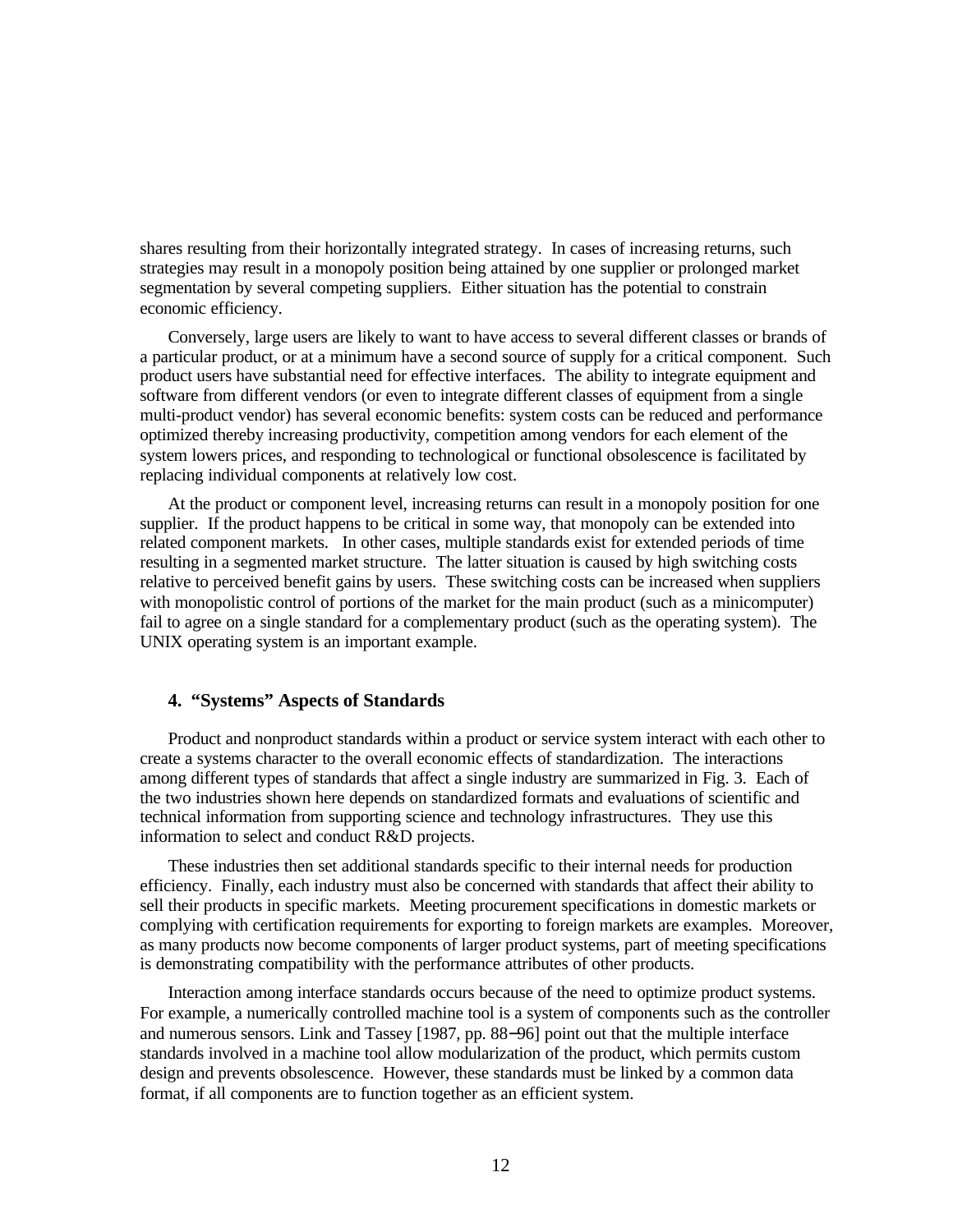shares resulting from their horizontally integrated strategy. In cases of increasing returns, such strategies may result in a monopoly position being attained by one supplier or prolonged market segmentation by several competing suppliers. Either situation has the potential to constrain economic efficiency.

Conversely, large users are likely to want to have access to several different classes or brands of a particular product, or at a minimum have a second source of supply for a critical component. Such product users have substantial need for effective interfaces. The ability to integrate equipment and software from different vendors (or even to integrate different classes of equipment from a single multi-product vendor) has several economic benefits: system costs can be reduced and performance optimized thereby increasing productivity, competition among vendors for each element of the system lowers prices, and responding to technological or functional obsolescence is facilitated by replacing individual components at relatively low cost.

At the product or component level, increasing returns can result in a monopoly position for one supplier. If the product happens to be critical in some way, that monopoly can be extended into related component markets. In other cases, multiple standards exist for extended periods of time resulting in a segmented market structure. The latter situation is caused by high switching costs relative to perceived benefit gains by users. These switching costs can be increased when suppliers with monopolistic control of portions of the market for the main product (such as a minicomputer) fail to agree on a single standard for a complementary product (such as the operating system). The UNIX operating system is an important example.

#### **4. "Systems" Aspects of Standards**

Product and nonproduct standards within a product or service system interact with each other to create a systems character to the overall economic effects of standardization. The interactions among different types of standards that affect a single industry are summarized in Fig. 3. Each of the two industries shown here depends on standardized formats and evaluations of scientific and technical information from supporting science and technology infrastructures. They use this information to select and conduct R&D projects.

These industries then set additional standards specific to their internal needs for production efficiency. Finally, each industry must also be concerned with standards that affect their ability to sell their products in specific markets. Meeting procurement specifications in domestic markets or complying with certification requirements for exporting to foreign markets are examples. Moreover, as many products now become components of larger product systems, part of meeting specifications is demonstrating compatibility with the performance attributes of other products.

Interaction among interface standards occurs because of the need to optimize product systems. For example, a numerically controlled machine tool is a system of components such as the controller and numerous sensors. Link and Tassey [1987, pp. 88−96] point out that the multiple interface standards involved in a machine tool allow modularization of the product, which permits custom design and prevents obsolescence. However, these standards must be linked by a common data format, if all components are to function together as an efficient system.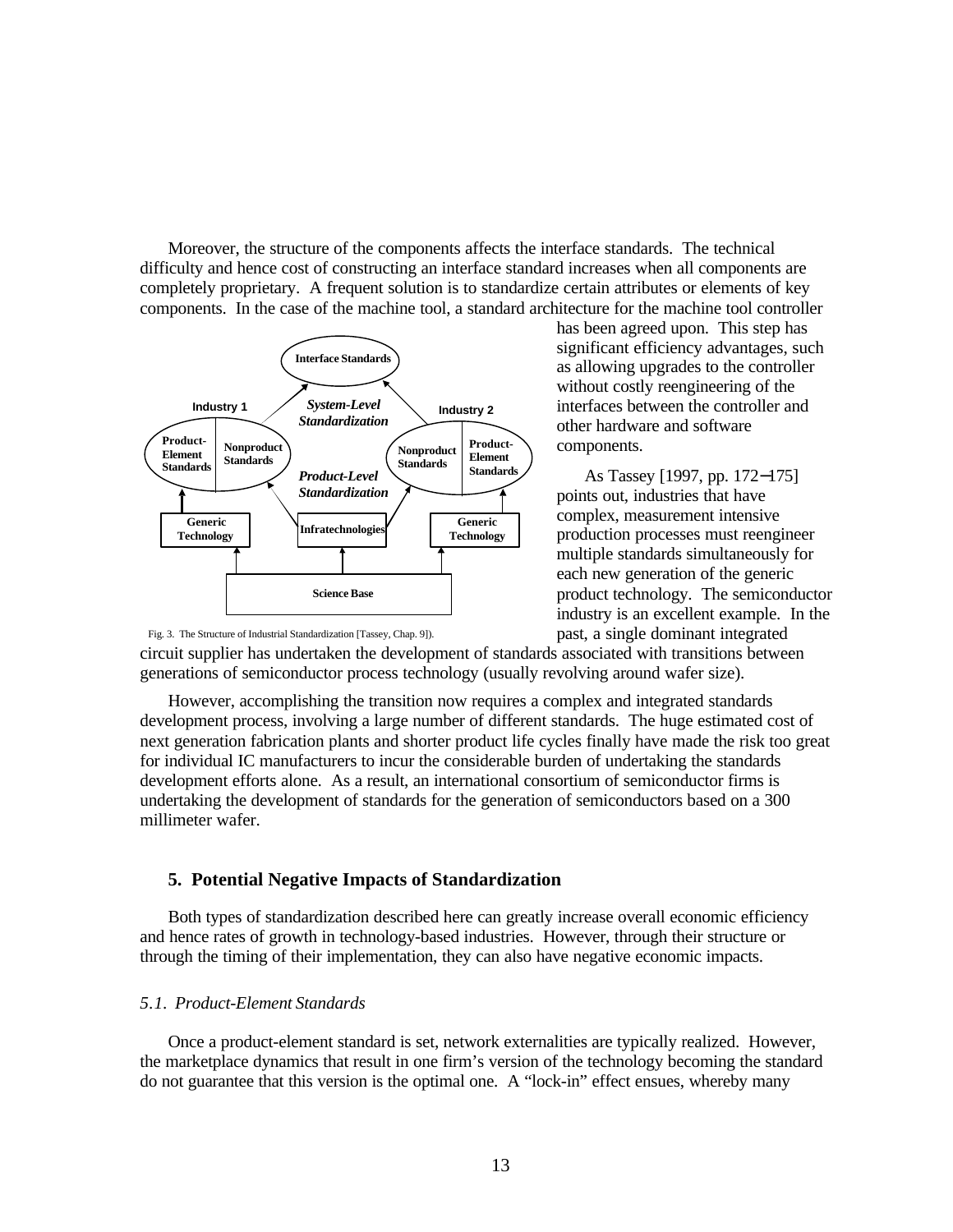Moreover, the structure of the components affects the interface standards. The technical difficulty and hence cost of constructing an interface standard increases when all components are completely proprietary. A frequent solution is to standardize certain attributes or elements of key components. In the case of the machine tool, a standard architecture for the machine tool controller



has been agreed upon. This step has significant efficiency advantages, such as allowing upgrades to the controller without costly reengineering of the interfaces between the controller and other hardware and software components.

As Tassey [1997, pp. 172−175] points out, industries that have complex, measurement intensive production processes must reengineer multiple standards simultaneously for each new generation of the generic product technology. The semiconductor industry is an excellent example. In the past, a single dominant integrated

circuit supplier has undertaken the development of standards associated with transitions between generations of semiconductor process technology (usually revolving around wafer size).

However, accomplishing the transition now requires a complex and integrated standards development process, involving a large number of different standards. The huge estimated cost of next generation fabrication plants and shorter product life cycles finally have made the risk too great for individual IC manufacturers to incur the considerable burden of undertaking the standards development efforts alone. As a result, an international consortium of semiconductor firms is undertaking the development of standards for the generation of semiconductors based on a 300 millimeter wafer.

#### **5. Potential Negative Impacts of Standardization**

Both types of standardization described here can greatly increase overall economic efficiency and hence rates of growth in technology-based industries. However, through their structure or through the timing of their implementation, they can also have negative economic impacts.

#### *5.1. Product-Element Standards*

Once a product-element standard is set, network externalities are typically realized. However, the marketplace dynamics that result in one firm's version of the technology becoming the standard do not guarantee that this version is the optimal one. A "lock-in" effect ensues, whereby many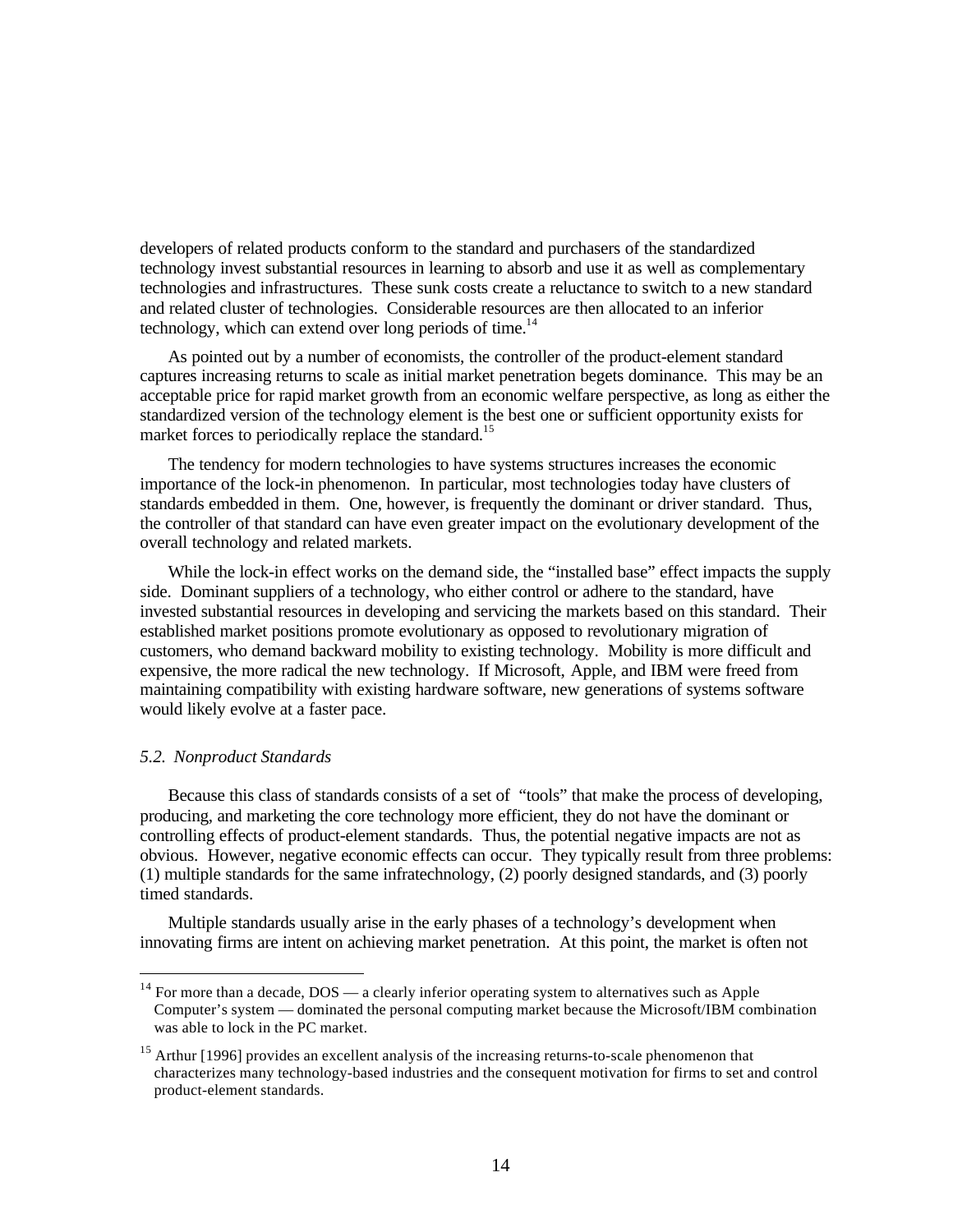developers of related products conform to the standard and purchasers of the standardized technology invest substantial resources in learning to absorb and use it as well as complementary technologies and infrastructures. These sunk costs create a reluctance to switch to a new standard and related cluster of technologies. Considerable resources are then allocated to an inferior technology, which can extend over long periods of time. $14$ 

As pointed out by a number of economists, the controller of the product-element standard captures increasing returns to scale as initial market penetration begets dominance. This may be an acceptable price for rapid market growth from an economic welfare perspective, as long as either the standardized version of the technology element is the best one or sufficient opportunity exists for market forces to periodically replace the standard.<sup>15</sup>

The tendency for modern technologies to have systems structures increases the economic importance of the lock-in phenomenon. In particular, most technologies today have clusters of standards embedded in them. One, however, is frequently the dominant or driver standard. Thus, the controller of that standard can have even greater impact on the evolutionary development of the overall technology and related markets.

While the lock-in effect works on the demand side, the "installed base" effect impacts the supply side. Dominant suppliers of a technology, who either control or adhere to the standard, have invested substantial resources in developing and servicing the markets based on this standard. Their established market positions promote evolutionary as opposed to revolutionary migration of customers, who demand backward mobility to existing technology. Mobility is more difficult and expensive, the more radical the new technology. If Microsoft, Apple, and IBM were freed from maintaining compatibility with existing hardware software, new generations of systems software would likely evolve at a faster pace.

#### *5.2. Nonproduct Standards*

 $\overline{a}$ 

Because this class of standards consists of a set of "tools" that make the process of developing, producing, and marketing the core technology more efficient, they do not have the dominant or controlling effects of product-element standards. Thus, the potential negative impacts are not as obvious. However, negative economic effects can occur. They typically result from three problems: (1) multiple standards for the same infratechnology, (2) poorly designed standards, and (3) poorly timed standards.

Multiple standards usually arise in the early phases of a technology's development when innovating firms are intent on achieving market penetration. At this point, the market is often not

 $14$  For more than a decade, DOS — a clearly inferior operating system to alternatives such as Apple Computer's system — dominated the personal computing market because the Microsoft/IBM combination was able to lock in the PC market.

<sup>&</sup>lt;sup>15</sup> Arthur [1996] provides an excellent analysis of the increasing returns-to-scale phenomenon that characterizes many technology-based industries and the consequent motivation for firms to set and control product-element standards.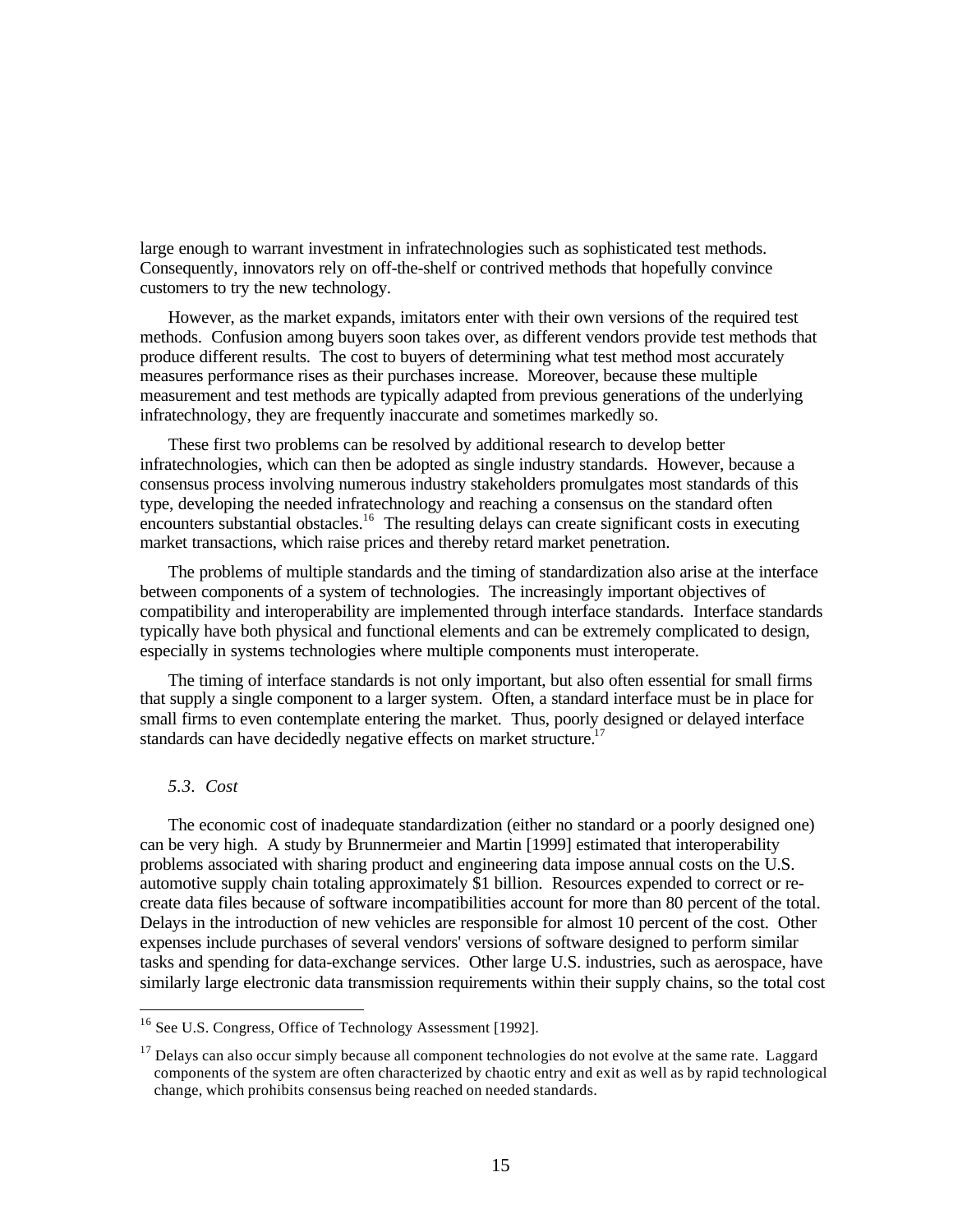large enough to warrant investment in infratechnologies such as sophisticated test methods. Consequently, innovators rely on off-the-shelf or contrived methods that hopefully convince customers to try the new technology.

However, as the market expands, imitators enter with their own versions of the required test methods. Confusion among buyers soon takes over, as different vendors provide test methods that produce different results. The cost to buyers of determining what test method most accurately measures performance rises as their purchases increase. Moreover, because these multiple measurement and test methods are typically adapted from previous generations of the underlying infratechnology, they are frequently inaccurate and sometimes markedly so.

These first two problems can be resolved by additional research to develop better infratechnologies, which can then be adopted as single industry standards. However, because a consensus process involving numerous industry stakeholders promulgates most standards of this type, developing the needed infratechnology and reaching a consensus on the standard often encounters substantial obstacles.<sup>16</sup> The resulting delays can create significant costs in executing market transactions, which raise prices and thereby retard market penetration.

The problems of multiple standards and the timing of standardization also arise at the interface between components of a system of technologies. The increasingly important objectives of compatibility and interoperability are implemented through interface standards. Interface standards typically have both physical and functional elements and can be extremely complicated to design, especially in systems technologies where multiple components must interoperate.

The timing of interface standards is not only important, but also often essential for small firms that supply a single component to a larger system. Often, a standard interface must be in place for small firms to even contemplate entering the market. Thus, poorly designed or delayed interface standards can have decidedly negative effects on market structure.<sup>17</sup>

#### *5.3. Cost*

 $\overline{a}$ 

The economic cost of inadequate standardization (either no standard or a poorly designed one) can be very high. A study by Brunnermeier and Martin [1999] estimated that interoperability problems associated with sharing product and engineering data impose annual costs on the U.S. automotive supply chain totaling approximately \$1 billion. Resources expended to correct or recreate data files because of software incompatibilities account for more than 80 percent of the total. Delays in the introduction of new vehicles are responsible for almost 10 percent of the cost. Other expenses include purchases of several vendors' versions of software designed to perform similar tasks and spending for data-exchange services. Other large U.S. industries, such as aerospace, have similarly large electronic data transmission requirements within their supply chains, so the total cost

<sup>&</sup>lt;sup>16</sup> See U.S. Congress, Office of Technology Assessment [1992].

 $17$  Delays can also occur simply because all component technologies do not evolve at the same rate. Laggard components of the system are often characterized by chaotic entry and exit as well as by rapid technological change, which prohibits consensus being reached on needed standards.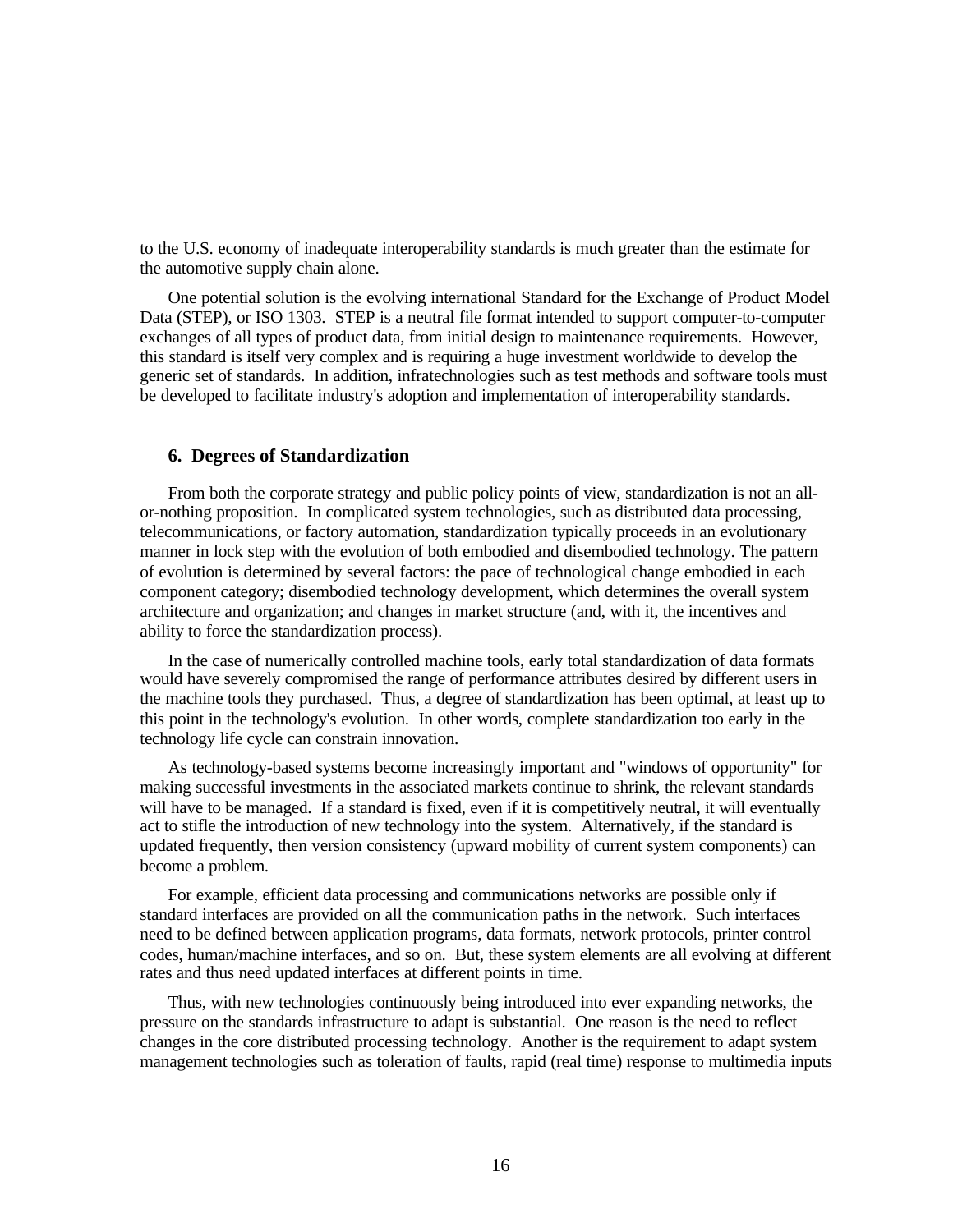to the U.S. economy of inadequate interoperability standards is much greater than the estimate for the automotive supply chain alone.

One potential solution is the evolving international Standard for the Exchange of Product Model Data (STEP), or ISO 1303. STEP is a neutral file format intended to support computer-to-computer exchanges of all types of product data, from initial design to maintenance requirements. However, this standard is itself very complex and is requiring a huge investment worldwide to develop the generic set of standards. In addition, infratechnologies such as test methods and software tools must be developed to facilitate industry's adoption and implementation of interoperability standards.

#### **6. Degrees of Standardization**

From both the corporate strategy and public policy points of view, standardization is not an allor-nothing proposition. In complicated system technologies, such as distributed data processing, telecommunications, or factory automation, standardization typically proceeds in an evolutionary manner in lock step with the evolution of both embodied and disembodied technology. The pattern of evolution is determined by several factors: the pace of technological change embodied in each component category; disembodied technology development, which determines the overall system architecture and organization; and changes in market structure (and, with it, the incentives and ability to force the standardization process).

In the case of numerically controlled machine tools, early total standardization of data formats would have severely compromised the range of performance attributes desired by different users in the machine tools they purchased. Thus, a degree of standardization has been optimal, at least up to this point in the technology's evolution. In other words, complete standardization too early in the technology life cycle can constrain innovation.

As technology-based systems become increasingly important and "windows of opportunity" for making successful investments in the associated markets continue to shrink, the relevant standards will have to be managed. If a standard is fixed, even if it is competitively neutral, it will eventually act to stifle the introduction of new technology into the system. Alternatively, if the standard is updated frequently, then version consistency (upward mobility of current system components) can become a problem.

For example, efficient data processing and communications networks are possible only if standard interfaces are provided on all the communication paths in the network. Such interfaces need to be defined between application programs, data formats, network protocols, printer control codes, human/machine interfaces, and so on. But, these system elements are all evolving at different rates and thus need updated interfaces at different points in time.

Thus, with new technologies continuously being introduced into ever expanding networks, the pressure on the standards infrastructure to adapt is substantial. One reason is the need to reflect changes in the core distributed processing technology. Another is the requirement to adapt system management technologies such as toleration of faults, rapid (real time) response to multimedia inputs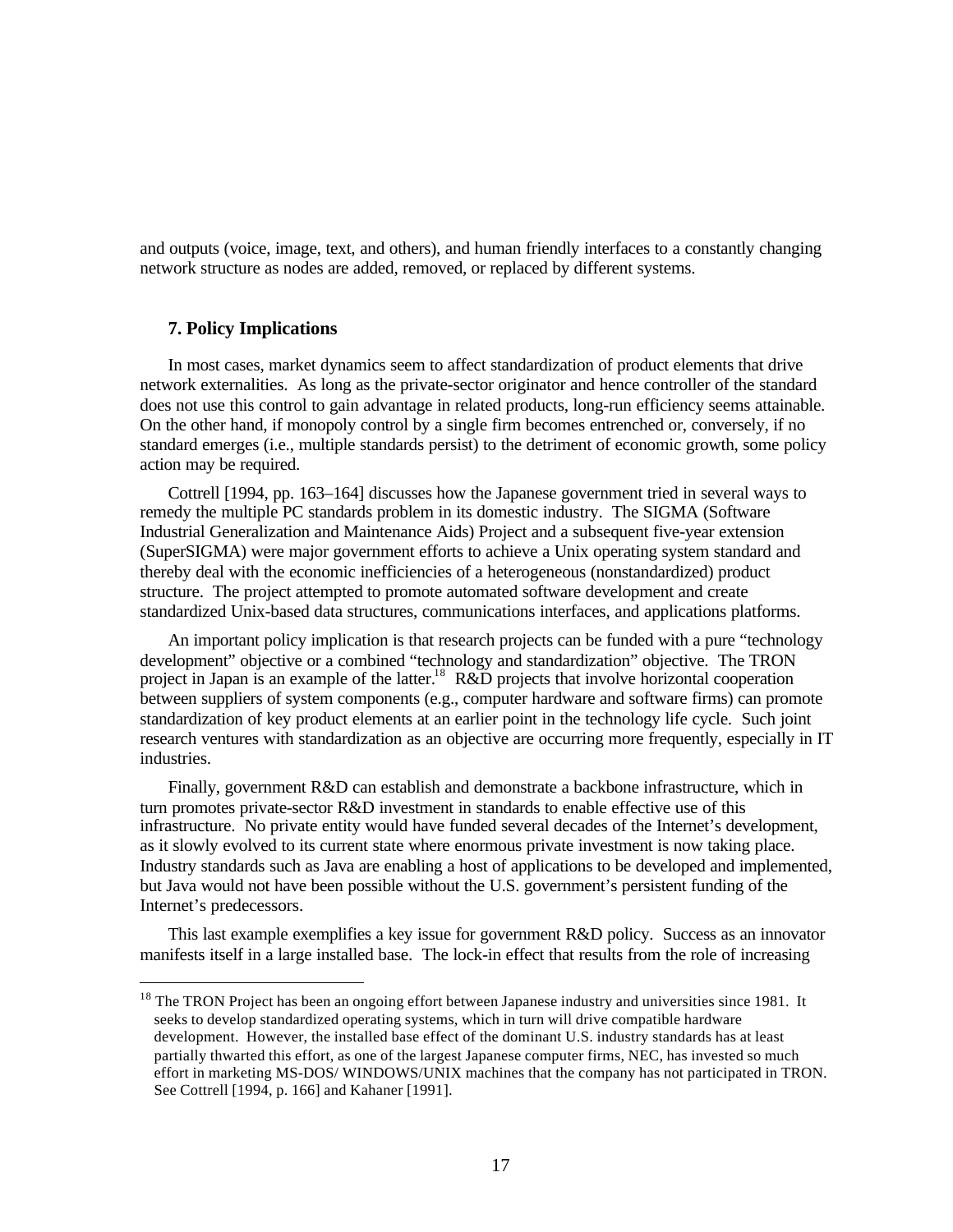and outputs (voice, image, text, and others), and human friendly interfaces to a constantly changing network structure as nodes are added, removed, or replaced by different systems.

#### **7. Policy Implications**

 $\overline{a}$ 

In most cases, market dynamics seem to affect standardization of product elements that drive network externalities. As long as the private-sector originator and hence controller of the standard does not use this control to gain advantage in related products, long-run efficiency seems attainable. On the other hand, if monopoly control by a single firm becomes entrenched or, conversely, if no standard emerges (i.e., multiple standards persist) to the detriment of economic growth, some policy action may be required.

Cottrell [1994, pp. 163–164] discusses how the Japanese government tried in several ways to remedy the multiple PC standards problem in its domestic industry. The SIGMA (Software Industrial Generalization and Maintenance Aids) Project and a subsequent five-year extension (SuperSIGMA) were major government efforts to achieve a Unix operating system standard and thereby deal with the economic inefficiencies of a heterogeneous (nonstandardized) product structure. The project attempted to promote automated software development and create standardized Unix-based data structures, communications interfaces, and applications platforms.

An important policy implication is that research projects can be funded with a pure "technology development" objective or a combined "technology and standardization" objective. The TRON project in Japan is an example of the latter.<sup>18</sup> R&D projects that involve horizontal cooperation between suppliers of system components (e.g., computer hardware and software firms) can promote standardization of key product elements at an earlier point in the technology life cycle. Such joint research ventures with standardization as an objective are occurring more frequently, especially in IT industries.

Finally, government R&D can establish and demonstrate a backbone infrastructure, which in turn promotes private-sector R&D investment in standards to enable effective use of this infrastructure. No private entity would have funded several decades of the Internet's development, as it slowly evolved to its current state where enormous private investment is now taking place. Industry standards such as Java are enabling a host of applications to be developed and implemented, but Java would not have been possible without the U.S. government's persistent funding of the Internet's predecessors.

This last example exemplifies a key issue for government R&D policy. Success as an innovator manifests itself in a large installed base. The lock-in effect that results from the role of increasing

<sup>&</sup>lt;sup>18</sup> The TRON Project has been an ongoing effort between Japanese industry and universities since 1981. It seeks to develop standardized operating systems, which in turn will drive compatible hardware development. However, the installed base effect of the dominant U.S. industry standards has at least partially thwarted this effort, as one of the largest Japanese computer firms, NEC, has invested so much effort in marketing MS-DOS/ WINDOWS/UNIX machines that the company has not participated in TRON. See Cottrell [1994, p. 166] and Kahaner [1991].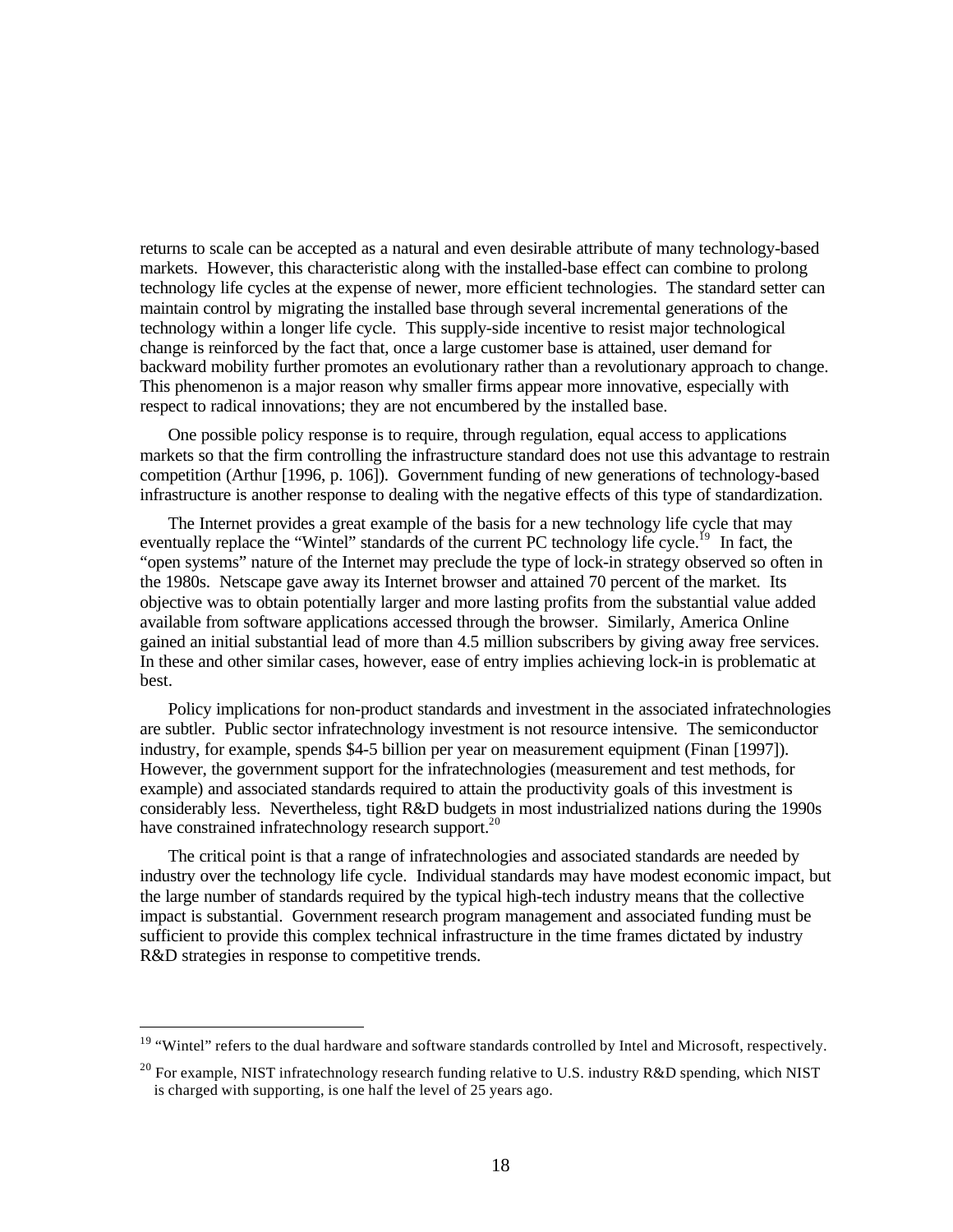returns to scale can be accepted as a natural and even desirable attribute of many technology-based markets. However, this characteristic along with the installed-base effect can combine to prolong technology life cycles at the expense of newer, more efficient technologies. The standard setter can maintain control by migrating the installed base through several incremental generations of the technology within a longer life cycle. This supply-side incentive to resist major technological change is reinforced by the fact that, once a large customer base is attained, user demand for backward mobility further promotes an evolutionary rather than a revolutionary approach to change. This phenomenon is a major reason why smaller firms appear more innovative, especially with respect to radical innovations; they are not encumbered by the installed base.

One possible policy response is to require, through regulation, equal access to applications markets so that the firm controlling the infrastructure standard does not use this advantage to restrain competition (Arthur [1996, p. 106]). Government funding of new generations of technology-based infrastructure is another response to dealing with the negative effects of this type of standardization.

The Internet provides a great example of the basis for a new technology life cycle that may eventually replace the "Wintel" standards of the current PC technology life cycle.<sup>19</sup> In fact, the "open systems" nature of the Internet may preclude the type of lock-in strategy observed so often in the 1980s. Netscape gave away its Internet browser and attained 70 percent of the market. Its objective was to obtain potentially larger and more lasting profits from the substantial value added available from software applications accessed through the browser. Similarly, America Online gained an initial substantial lead of more than 4.5 million subscribers by giving away free services. In these and other similar cases, however, ease of entry implies achieving lock-in is problematic at best.

Policy implications for non-product standards and investment in the associated infratechnologies are subtler. Public sector infratechnology investment is not resource intensive. The semiconductor industry, for example, spends \$4-5 billion per year on measurement equipment (Finan [1997]). However, the government support for the infratechnologies (measurement and test methods, for example) and associated standards required to attain the productivity goals of this investment is considerably less. Nevertheless, tight R&D budgets in most industrialized nations during the 1990s have constrained infratechnology research support. $^{20}$ 

The critical point is that a range of infratechnologies and associated standards are needed by industry over the technology life cycle. Individual standards may have modest economic impact, but the large number of standards required by the typical high-tech industry means that the collective impact is substantial. Government research program management and associated funding must be sufficient to provide this complex technical infrastructure in the time frames dictated by industry R&D strategies in response to competitive trends.

 $\overline{a}$ 

<sup>&</sup>lt;sup>19</sup> "Wintel" refers to the dual hardware and software standards controlled by Intel and Microsoft, respectively.

<sup>&</sup>lt;sup>20</sup> For example, NIST infratechnology research funding relative to U.S. industry R&D spending, which NIST is charged with supporting, is one half the level of 25 years ago.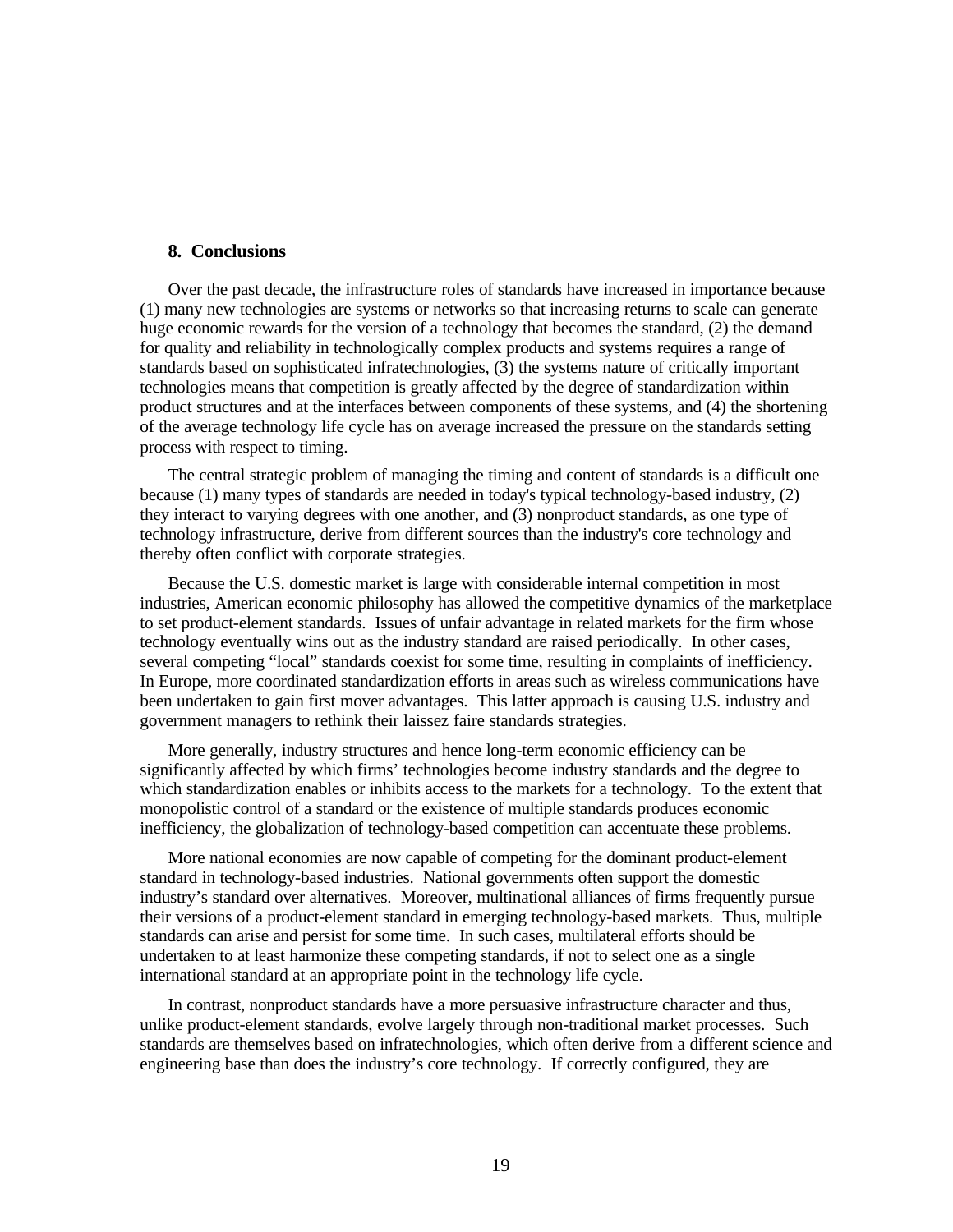#### **8. Conclusions**

Over the past decade, the infrastructure roles of standards have increased in importance because (1) many new technologies are systems or networks so that increasing returns to scale can generate huge economic rewards for the version of a technology that becomes the standard, (2) the demand for quality and reliability in technologically complex products and systems requires a range of standards based on sophisticated infratechnologies, (3) the systems nature of critically important technologies means that competition is greatly affected by the degree of standardization within product structures and at the interfaces between components of these systems, and (4) the shortening of the average technology life cycle has on average increased the pressure on the standards setting process with respect to timing.

The central strategic problem of managing the timing and content of standards is a difficult one because (1) many types of standards are needed in today's typical technology-based industry, (2) they interact to varying degrees with one another, and (3) nonproduct standards, as one type of technology infrastructure, derive from different sources than the industry's core technology and thereby often conflict with corporate strategies.

Because the U.S. domestic market is large with considerable internal competition in most industries, American economic philosophy has allowed the competitive dynamics of the marketplace to set product-element standards. Issues of unfair advantage in related markets for the firm whose technology eventually wins out as the industry standard are raised periodically. In other cases, several competing "local" standards coexist for some time, resulting in complaints of inefficiency. In Europe, more coordinated standardization efforts in areas such as wireless communications have been undertaken to gain first mover advantages. This latter approach is causing U.S. industry and government managers to rethink their laissez faire standards strategies.

More generally, industry structures and hence long-term economic efficiency can be significantly affected by which firms' technologies become industry standards and the degree to which standardization enables or inhibits access to the markets for a technology. To the extent that monopolistic control of a standard or the existence of multiple standards produces economic inefficiency, the globalization of technology-based competition can accentuate these problems.

More national economies are now capable of competing for the dominant product-element standard in technology-based industries. National governments often support the domestic industry's standard over alternatives. Moreover, multinational alliances of firms frequently pursue their versions of a product-element standard in emerging technology-based markets. Thus, multiple standards can arise and persist for some time. In such cases, multilateral efforts should be undertaken to at least harmonize these competing standards, if not to select one as a single international standard at an appropriate point in the technology life cycle.

In contrast, nonproduct standards have a more persuasive infrastructure character and thus, unlike product-element standards, evolve largely through non-traditional market processes. Such standards are themselves based on infratechnologies, which often derive from a different science and engineering base than does the industry's core technology. If correctly configured, they are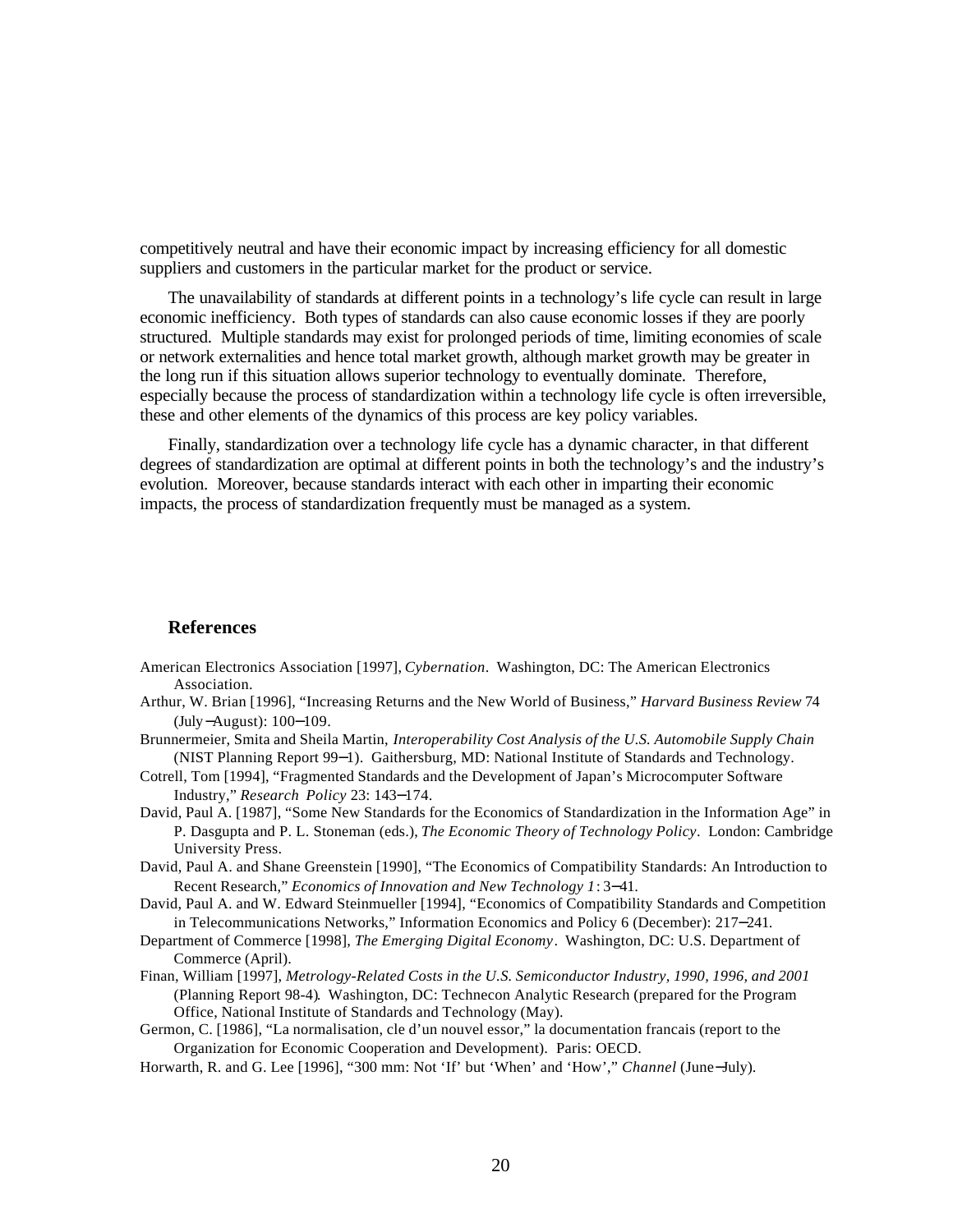competitively neutral and have their economic impact by increasing efficiency for all domestic suppliers and customers in the particular market for the product or service.

The unavailability of standards at different points in a technology's life cycle can result in large economic inefficiency. Both types of standards can also cause economic losses if they are poorly structured. Multiple standards may exist for prolonged periods of time, limiting economies of scale or network externalities and hence total market growth, although market growth may be greater in the long run if this situation allows superior technology to eventually dominate. Therefore, especially because the process of standardization within a technology life cycle is often irreversible, these and other elements of the dynamics of this process are key policy variables.

Finally, standardization over a technology life cycle has a dynamic character, in that different degrees of standardization are optimal at different points in both the technology's and the industry's evolution. Moreover, because standards interact with each other in imparting their economic impacts, the process of standardization frequently must be managed as a system.

#### **References**

- American Electronics Association [1997], *Cybernation*. Washington, DC: The American Electronics Association.
- Arthur, W. Brian [1996], "Increasing Returns and the New World of Business," *Harvard Business Review* 74 (July−August): 100−109.
- Brunnermeier, Smita and Sheila Martin, *Interoperability Cost Analysis of the U.S. Automobile Supply Chain* (NIST Planning Report 99−1). Gaithersburg, MD: National Institute of Standards and Technology.
- Cotrell, Tom [1994], "Fragmented Standards and the Development of Japan's Microcomputer Software Industry," *Research Policy* 23: 143−174.
- David, Paul A. [1987], "Some New Standards for the Economics of Standardization in the Information Age" in P. Dasgupta and P. L. Stoneman (eds.), *The Economic Theory of Technology Policy*. London: Cambridge University Press.
- David, Paul A. and Shane Greenstein [1990], "The Economics of Compatibility Standards: An Introduction to Recent Research," *Economics of Innovation and New Technology 1*: 3−41.
- David, Paul A. and W. Edward Steinmueller [1994], "Economics of Compatibility Standards and Competition in Telecommunications Networks," Information Economics and Policy 6 (December): 217−241.
- Department of Commerce [1998], *The Emerging Digital Economy*. Washington, DC: U.S. Department of Commerce (April).
- Finan, William [1997], *Metrology-Related Costs in the U.S. Semiconductor Industry, 1990, 1996, and 2001* (Planning Report 98-4)*.* Washington, DC: Technecon Analytic Research (prepared for the Program Office, National Institute of Standards and Technology (May).
- Germon, C. [1986], "La normalisation, cle d'un nouvel essor," la documentation francais (report to the Organization for Economic Cooperation and Development). Paris: OECD.
- Horwarth, R. and G. Lee [1996], "300 mm: Not 'If' but 'When' and 'How'," *Channel* (June−July).